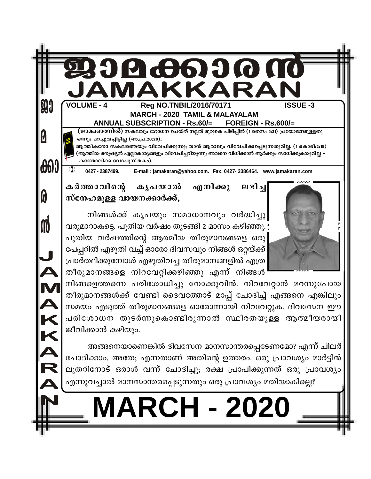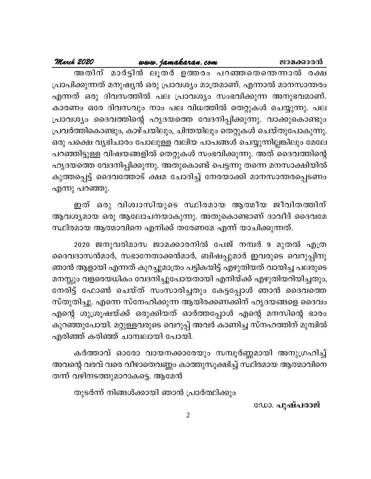# March 2020

പ്രാപിക്കുന്നത് മനുഷ്യൻ ഒരു പ്രാവശ്യം മാത്രമാണ്. എന്നാൽ മാനസാന്തരം എന്നത് ഒരു ദിവസത്തിൽ പല പ്രാവശ്യം സംഭവിക്കുന്ന അനുഭവമാണ്. കാരണം ഒരേ ദിവസവും നാം പല വിധത്തിൽ തെറ്റുകൾ ചെയ്യുന്നു. പല പ്രാവശ്യം ദൈവത്തിന്റെ ഹൃദയത്തെ വേദനിപ്പിക്കുന്നു. വാക്കുകൊണ്ടും പ്രവർത്തികൊണ്ടും, കാഴ്ചയിലും, ചിന്തയിലും തെറ്റുകൾ ചെയ്തുപോകുന്നു. ഒരു പക്ഷെ വൃഭിചാരം പോലുള്ള വലിയ പാപങ്ങൾ ചെയ്യുന്നില്ലങ്കിലും മേലേ പറഞ്ഞിട്ടുള്ള വിഷയങ്ങളിൽ തെറ്റുകൾ സംഭവിക്കുന്നു. അത് ദൈവത്തിന്റെ ഹൃദയത്തെ വേദനിപ്പിക്കുന്നു. അതുകൊണ്ട് പെട്ടന്നു തന്നെ മനസാക്ഷിയിൽ കുത്തപ്പെട്ട് ദൈവത്തോട് ക്ഷമ ചോദിച്ച് നേരയാക്കി മാനസാന്തരപ്പെടണം എന്നു പറഞ്ഞു.

ഇത് ഒരു വിശ്വാസിയുടെ സ്ഥിരമായ ആത്മീയ ജീവിതത്തിന് ആവശ്യമായ ഒരു ആലോചനയാകുന്നു. അതുകൊണ്ടാണ് ദാവീദ് ദൈവമേ സ്ഥിരമായ ആത്മാവിനെ എനിക്ക് തരേണമേ എന്ന് യാചിക്കുന്നത്.

2020 ജനുവരിമാസ ജാമക്കാരനിൽ പേജ് നമ്പർ 9 മുതൽ എത്ര ദൈവദാസൻമാർ, സഭാനേതാക്കൻമാർ, ബിഷപ്പുമാർ ഇവരുടെ വെറുപ്പിനു ഞാൻ ആളായി എന്നത് കുറച്ചുമാത്രം പട്ടികയിട്ട് എഴുതിയത് വായിച്ച പലരുടെ മനസ്സും വളരെയധികം വേദനിച്ചുപോയതായി എനിയ്ക്ക് എഴുതിയറിയിച്ചതും, നേരിട്ട് ഫോൺ ചെയ്ത് സംസാരിച്ചതും കേട്ടപ്പോൾ ഞാൻ ദൈവത്തെ സ്തുതിച്ചു. എന്നെ സ്നേഹിക്കുന്ന ആയിരക്കണക്കിന് ഹൃദയങ്ങളെ ദൈവം എന്റെ ശുശ്രൂഷയ്ക്ക് ഒരുക്കിയത് ഓർത്തപ്പോൾ എന്റെ മനസിന്റെ ഭാരം കുറഞ്ഞുപോയി. മറ്റുള്ളവരുടെ വെറുപ്പ് അവർ കാണിച്ച സ്നഹത്തിന് മുമ്പിൽ എരിഞ്ഞ് കരിഞ്ഞ് ചാമ്പലായി പോയി.

കർത്താവ് ഓരോ വായനക്കാരേയും സമ്പൂർണ്ണമായി അനുഗ്രഹിച്ച് അവന്റെ വരവ് വരെ വീഴാതെവണ്ണം കാത്തുസൂക്ഷിച്ച് സ്ഥിരമായ ആത്മാവിനെ തന്ന് വഴിനടത്തുമാറാകട്ടെ. ആമേൻ

തുടർന്ന് നിങ്ങൾക്കായി ഞാൻ പ്രാർത്ഥിക്കും

ഡോ. പുഷ്പരാജ്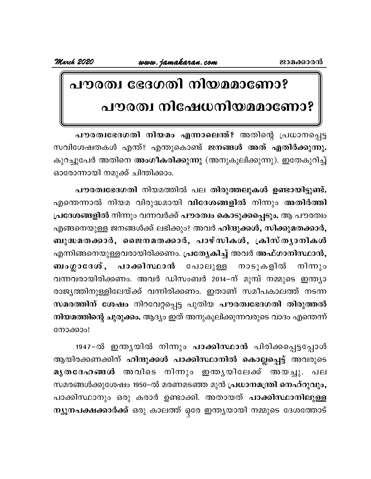# പൗരത്വ ഭേദഗതി നിയമമാണോ? പൗരത്വ നിഷേധനിയമമാണോ?

പൗരത്വഭേദഗതി നിയമം എന്നാലെന്ത്? അതിന്റെ പ്രധാനപ്പെട്ട സവിശേഷതകൾ എന്ത്? എന്തുകൊണ്ട് ജനങ്ങൾ അത് എതിർക്കുന്നു. കുറച്ചുപേർ അതിനെ അംഗീകരിക്കുന്നു (അനുകൂലിക്കുന്നു). ഇതേകുറിച്ച് ഓരോന്നായി നമുക്ക് ചിന്തിക്കാം.

പൗരത്വഭേദഗതി നിയമത്തിൽ പല തിരുത്തലുകൾ ഉണ്ടായിട്ടുണ്ട്. എന്തെന്നാൽ നിയമ വിരുദ്ധമായി വിദേശങ്ങളിൽ നിന്നും അതിർത്തി പ്രദേശങ്ങളിൽ നിന്നും വന്നവർക്ക് പൗരത്വം കൊടുക്കപ്പെടും. ആ പൗരത്വം എങ്ങനെയുള്ള ജനങ്ങൾക്ക് ലഭിക്കും? അവർ ഹിന്ദുക്കൾ, സിക്കുമതക്കാർ, ബുദ്ധമതക്കാർ, ജൈനമതക്കാർ, പാഴ്സികൾ, ക്രിസ്ത്യാനികൾ എന്നിങ്ങനെയുള്ളവരായിരിക്കണം. പ്രത്യേകിച്ച് അവർ അഫ്ഗാനിസ്ഥാൻ, ബംഗ്ലാദേശ്, പാക്കിസ്ഥാൻ പോലുള്ള നാടുകളിൽ നിന്നും വന്നവരായിരിക്കണം. അവർ ഡിസംബർ 2014–ന് മുമ്പ് നമ്മുടെ ഇന്ത്യാ രാജ്യത്തിനുള്ളിലേയ്ക്ക് വന്നിരിക്കണം. ഇതാണ് സമീപകാലത്ത് നടന്ന സമരത്തിന് ശേഷം നിറവേറ്റപ്പെട്ട പുതിയ പൗരത്വഭേദഗതി തിരുത്തൽ നിയമത്തിന്റെ ചുരുക്കം. ആദ്യം ഇത് അനുകൂലിക്കുന്നവരുടെ വാദം എന്തെന്ന് നോക്കാം!

1947-ൽ ഇന്ത്യയിൽ നിന്നും പാക്കിസ്ഥാൻ പിരിക്കപ്പെട്ടപ്പോൾ ആയിരക്കണക്കിന് ഹിന്ദുക്കൾ പാക്കിസ്ഥാനിൽ കൊല്ലപ്പെട്ട് അവരുടെ മൂതദേഹങ്ങൾ അവിടെ നിന്നും ഇന്തൃയിലേക്ക് അയച്ചു. പല സമരങ്ങൾക്കുശേഷം 1950–ൽ മരണമടഞ്ഞ മുൻ പ്രധാനമന്ത്രി നെഹ്റുവും, പാക്കിസ്ഥാനും ഒരു കരാർ ഉണ്ടാക്കി. അതായത് പാക്കിസ്ഥാനിലുള്ള ന്യൂനപക്ഷക്കാർക്ക് ഒരു കാലത്ത് ഒരേ ഇന്ത്യയായി നമ്മുടെ ദേശത്തോട്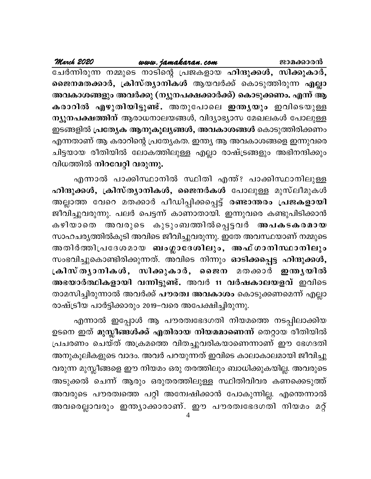| March 2020                  |  | www.jamakaran.com | ജാമക്കാരൻ                                                        |
|-----------------------------|--|-------------------|------------------------------------------------------------------|
|                             |  |                   | ചേർന്നിരുന്ന നമ്മുടെ നാടിന്റെ പ്രജകളായ ഹിന്ദുക്കൾ, സിക്കുകാർ,    |
|                             |  |                   | ജൈനമതക്കാർ, ക്രിസ്ത്യാനികൾ ആയവർക്ക് കൊടുത്തിരുന്ന എല്ലാ          |
|                             |  |                   | അവകാശങ്ങളും അവർക്കു (ന്യൂനപക്ഷക്കാർക്ക്) കൊടുക്കണം. എന്ന് ആ      |
|                             |  |                   | കരാറിൽ എഴുതിയിട്ടുണ്ട്. അതുപോലെ ഇന്തൃയും ഇവിടെയുള്ള              |
|                             |  |                   | ന്യൂനപക്ഷത്തിന് ആരാധനാലയങ്ങൾ, വിദ്യാഭ്യാസ മേഖലകൾ പോലുള്ള         |
|                             |  |                   | ഇടങ്ങളിൽ <b>പ്രത്യേക ആനുകൂല്യങ്ങൾ, അവകാശങ്ങൾ</b> കൊടുത്തിരിക്കണം |
|                             |  |                   | എന്നതാണ് ആ കരാറിന്റെ പ്രത്യേകത. ഇന്ത്യ ആ അവകാശങ്ങളെ ഇന്നുവരെ     |
|                             |  |                   | ചിട്ടയായ രീതിയിൽ ലോകത്തിലുള്ള എല്ലാ രാഷ്ട്രങ്ങളും അഭിനന്ദിക്കും  |
| വിധത്തിൽ നിറവേറ്റി വരുന്നു. |  |                   |                                                                  |

എന്നാൽ പാക്കിസ്ഥാനിൽ സ്ഥിതി എന്ത്? പാക്കിസ്ഥാനിലുള്ള ഹിന്ദുക്കൾ, ക്രിസ്ത്യാനികൾ, ജൈനർകൾ പോലുള്ള മുസ്ലീമുകൾ അല്ലാത്ത വേറെ മതക്കാർ പീഡിപ്പിക്കപ്പെട്ട് രണ്ടാന്തരം പ്രജകളായി ജീവിച്ചുവരുന്നു. പലർ പെട്ടന്ന് കാണാതായി. ഇന്നുവരെ കണ്ടുപിടിക്കാൻ കഴിയാതെ അവരുടെ കുടുംബത്തിൽപ്പെട്ടവർ അപകടകരമായ സാഹചര്യത്തിൽകൂടി അവിടെ ജീവിച്ചുവരുന്നു. ഇതേ അവസ്ഥയാണ് നമ്മുടെ അതിർത്തിപ്രദേശമായ ബംഗ്ലാദേശിലും, അഫ്ഗാനിസ്ഥാനിലും സംഭവിച്ചുകൊണ്ടിരിക്കുന്നത്. അവിടെ നിന്നും ഓടിക്കപ്പെട്ട ഹിന്ദുക്കൾ, ക്രിസ്തൃാനികൾ, സിക്കുകാർ, ജൈന മതക്കാർ ഇന്തൃയിൽ അഭയാർത്ഥികളായി വന്നിട്ടുണ്ട്. അവർ 11 വർഷകാലയളവ് ഇവിടെ താമസിച്ചിരുന്നാൽ അവർക്ക് <mark>പൗരത്വ അവകാശ</mark>ം കൊടുക്കണമെന്ന് എല്ലാ രാഷ്ട്രീയ പാർട്ടിക്കാരും 2019–വരെ അപേക്ഷിച്ചിരുന്നു.

എന്നാൽ ഇപ്പോൾ ആ പൗരത്വഭേദഗതി നിയമത്തെ നടപ്പിലാക്കിയ ഉടനെ ഇത് മുസ്ലീങ്ങൾക്ക് എതിരായ നിയമമാണെന്ന് തെറ്റായ രീതിയിൽ പ്രചരണം ചെയ്ത് അക്രമത്തെ വിതച്ചുവരികയാണെന്നാണ് ഈ ഭേഗദതി അനുകൂലികളുടെ വാദം. അവർ പറയുന്നത് ഇവിടെ കാലാകാലമായി ജീവിച്ചു വരുന്ന മുസ്ലീങ്ങളെ ഈ നിയമം ഒരു തരത്തിലും ബാധിക്കുകയില്ല. അവരുടെ അടുക്കൽ ചെന്ന് ആരും ഒരുതരത്തിലുള്ള സ്ഥിതിവിവര കണക്കെടുത്ത് അവരുടെ പൗരത്വത്തെ പറ്റി അന്വേഷിക്കാൻ പോകുന്നില്ല. എന്തെന്നാൽ അവരെല്ലാവരും ഇന്ത്യാക്കാരാണ്. ഈ പൗരത്വഭേദഗതി നിയമം മറ്റ്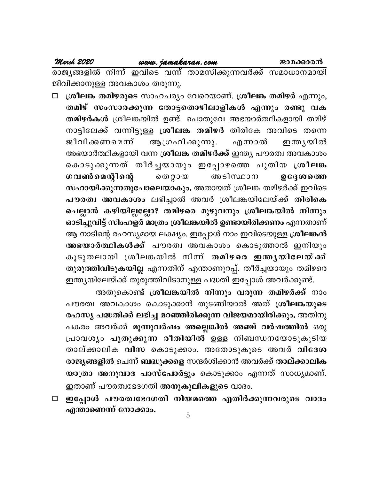### March 2020

www.jamakaran.com

രാജ്യങ്ങളിൽ നിന്ന് ഇവിടെ വന്ന് താമസിക്കുന്നവർക്ക് സമാധാനമായി ജിവിക്കാനുള്ള അവകാശം തരുന്നു.

ശ്രീലങ്ക തമിഴരുടെ സാഹചര്യം വേറെയാണ്. ശ്രീലങ്ക തമിഴർ എന്നും,  $\Box$ തമിഴ് സംസാരക്കുന്ന തോട്ടതൊഴിലാളികൾ എന്നും രണ്ടു വക തമിഴർകൾ ശ്രീലങ്കയിൽ ഉണ്ട്. പൊതുവേ അഭയാർത്ഥികളായി തമിഴ് നാട്ടിലേക്ക് വന്നിട്ടുള്ള ശ്രീലങ്ക തമിഴർ തിരികേ അവിടെ തന്നെ ആഗ്രഹിക്കുന്നു. ജീവിക്കണമെന്ന് എന്നാൽ ഇന്ത്യയിൽ അഭയാർത്ഥികളായി വന്ന ശ്രീലങ്ക തമിഴർക്ക് ഇന്ത്യ പൗരത്വ അവകാശം കൊടുക്കുന്നത് തീർച്ചയായും ഇപ്പോഴത്തെ പുതിയ ശ്രീലങ്ക ഗവൺമെന്റിന്റെ ൈറ്റായ അടിസ്ഥാന ഉദ്ദേശത്തെ സഹായിക്കുന്നതുപോലെയാകും. അതായത് ശ്രീലങ്ക തമിഴർക്ക് ഇവിടെ പൗരത്വ അവകാശം ലഭിച്ചാൽ അവർ ശ്രീലങ്കയിലേയ്ക്ക് തിരികെ ചെല്ലാൻ കഴിയില്ലല്ലോ? തമിഴരെ മുഴുവനും ശ്രീലങ്കയിൽ നിന്നും ഓടിച്ചുവിട്ട് സിംഹളർ മാത്രം ശ്രീലങ്കയിൽ ഉണ്ടായിരിക്കണം എന്നതാണ് ആ നാടിന്റെ രഹസ്യമായ ലക്ഷ്യം. ഇപ്പോൾ നാം ഇവിടെയുള്ള ശ്രീലങ്കൻ അഭയാർത്ഥികൾക്ക് പൗരത്വ അവകാശം കൊടുത്താൽ ഇനിയും കൂടുതലായി ശ്രീലങ്കയിൽ നിന്ന് തമിഴരെ ഇന്തൃയിലേയ്ക്ക് തുരുത്തിവിടുകയില്ല എന്നതിന് എന്താണുറപ്പ്. തീർച്ചയായും തമിഴരെ ഇന്ത്യയിലേയ്ക്ക് തുരുത്തിവിടാനുള്ള പദ്ധതി ഇപ്പോൾ അവർക്കുണ്ട്.

അതുകൊണ്ട് ശ്രീലങ്കയിൽ നിന്നും വരുന്ന തമിഴർക്ക് നാം പൗരത്വ അവകാശം കൊടുക്കാൻ തുടങ്ങിയാൽ അത് ശ്രീലങ്കയുടെ രഹസ്യ പദ്ധതിക്ക് ലഭിച്ച മറഞ്ഞിരിക്കുന്ന വിജയമായിരിക്കും. അതിനു പകരം അവർക്ക് മൂന്നുവർഷം അല്ലെങ്കിൽ അഞ്ച് വർഷത്തിൽ ഒരു പ്രാവശ്യം പുതുക്കുന്ന രീതിയിൽ ഉള്ള നിബന്ധനയോടുകൂടിയ താല്ക്കാലിക വിസ കൊടുക്കാം. അതോടുകൂടെ അവർ വിദേശ രാജ്യങ്ങളിൽ ചെന്ന് ബദ്ധുക്കളെ സന്ദർശിക്കാൻ അവർക്ക് താല്ക്കാലിക യാത്രാ അനുവാദ പാസ്പോർട്ടും കൊടുക്കാം എന്നത് സാധ്യമാണ്. ഇതാണ് പൗരത്വഭേദഗതി <mark>അനുകൂലികളുടെ</mark> വാദം.

ഇപ്പോൾ പൗരത്വഭേദഗതി നിയമത്തെ എതിർക്കുന്നവരുടെ വാദം  $\Box$ എന്താണെന്ന് നോക്കാം.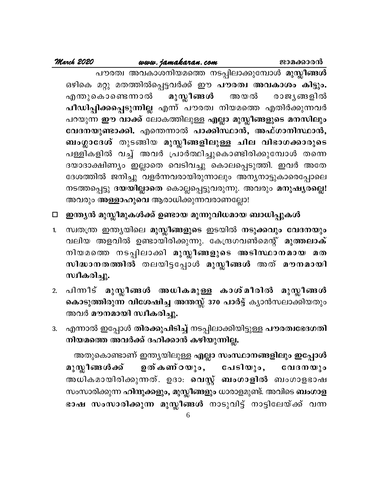### www.jamakaran.com

പൗരത്വ അവകാശനിയമത്തെ നടപ്പിലാക്കുമ്പോൾ മുസ്ലീങ്ങൾ ഒഴികെ മറ്റു മതത്തിൽപ്പെട്ടവർക്ക് ഈ പൗരത്വ അവകാശം കിട്ടും. മുസ്ലീങ്ങൾ അ യ ൽ എന്തുകൊണ്ടെന്നാൽ രാജ്യങ്ങളിൽ പീഡിപ്പിക്കപ്പെടുന്നില്ല എന്ന് പൗരത്വ നിയമത്തെ എതിർക്കുന്നവർ പറയുന്ന ഈ വാക്ക് ലോകത്തിലുള്ള എല്ലാ മുസ്ലീങ്ങളുടെ മനസിലും വേദനയുണ്ടാക്കി. എന്തെന്നാൽ പാക്കിസ്ഥാൻ, അഫ്ഗാനിസ്ഥാൻ, ബംഗ്ലാദേശ് തുടങ്ങിയ മുസ്ലീങ്ങളിലുള്ള ചില വിഭാഗക്കാരുടെ പള്ളികളിൽ വച്ച് അവർ പ്രാർത്ഥിച്ചുകൊണ്ടിരിക്കുമ്പോൾ തന്നെ ദയാദാക്ഷിണ്യം ഇല്ലാതെ വെടിവച്ചു കൊലപ്പെടുത്തി. ഇവർ അതേ ദേശത്തിൽ ജനിച്ചു വളർന്നവരായിരുന്നാലും അന്യനാട്ടുകാരെപ്പോലെ നടത്തപ്പെട്ടു ദയയില്ലാതെ കൊല്ലപ്പെട്ടുവരുന്നു. അവരും മനുഷ്യരല്ലെ! അവരും അള്ളാഹുവെ ആരാധിക്കുന്നവരാണല്ലോ!

### \_ഇന്ത്യൻ മുസ്ലീമുകൾക്ക് ഉണ്ടായ മൂന്നുവിധമായ ബാധിപ്പുകൾ  $\Box$

- 1. സ്വതന്ത്ര ഇന്ത്യയിലെ മുസ്ലീങ്ങളുടെ ഇടയിൽ നടുക്കവും വേദനയും വലിയ അളവിൽ ഉണ്ടായിരിക്കുന്നു. കേന്ദ്രഗവൺമെന്റ് മുത്തലാക് നിയമത്തെ നടപ്പിലാക്കി മുസ്ലീങ്ങളുടെ അടിസ്ഥാനമായ മത സിദ്ധാനതത്തിൽ തലയിട്ടപ്പോൾ മുസ്ലീങ്ങൾ അത് മൗനമായി സ്ഥീകരിച്ചു.
- പിന്നീട് മുസ്ലീങ്ങൾ അധികമുള്ള കാശ്മീരിൽ മുസ്ലീങ്ങൾ  $2.$ കൊടുത്തിരുന്ന വിശേഷിച്ച അന്തസ്സ് 370 പാർട്ട് ക്യാൻസലാക്കിയതും അവർ മൗനമായി സ്ഥീകരിച്ചു.
- എന്നാൽ ഇപ്പോൾ തിരക്കുപിടിച്ച് നടപ്പിലാക്കിയിട്ടുള്ള പൗരത്വഭേദഗതി 3. നിയമത്തെ അവർക്ക് ദഹിക്കാൻ കഴിയുന്നില്ല.

അതുകൊണ്ടാണ് ഇന്ത്യയിലുള്ള എല്ലാ സംസ്ഥാനങ്ങളിലും ഇപ്പോൾ മുസ്ലീങ്ങ*ൾ* ക്ക് ഉത്കണ്ഠയും, പേടിയും, വേദനയും അധികമായിരിക്കുന്നത്. ഉദാ։ **വെസ്റ്റ് ബംഗാളിൽ** ബംഗാളഭാഷ സംസാരിക്കുന്ന ഹിന്ദുക്കളും, മുസ്ലീങ്ങളും ധാരാളമുണ്ട്. അവിടെ ബംഗാള ഭാഷ സംസാരിക്കുന്ന മുസ്ലീങ്ങൾ നാടുവിട്ട് നാട്ടിലേയ്ക്ക് വന്ന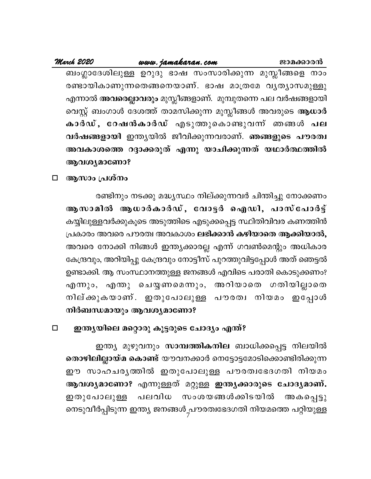ബംഗ്ലാദേശിലുള്ള ഉറുദു ഭാഷ സംസാരിക്കുന്ന മുസ്ലീങ്ങളെ നാം രണ്ടായികാണുന്നതെങ്ങനെയാണ്. ഭാഷ മാത്രമേ വൃത്യാസമുള്ളു എന്നാൽ അവരെല്ലാവരും മുസ്ലീങ്ങളാണ്. മുമ്പുതന്നെ പല വർഷങ്ങളായി വെസ്റ്റ് ബംഗാൾ ദേശത്ത് താമസിക്കുന്ന മുസ്ലീങ്ങൾ അവരുടെ ആധാർ കാർഡ്, റേഷൻകാർഡ് എടുത്തുകൊണ്ടുവന്ന് ഞങ്ങൾ പല വർഷങ്ങളായി ഇന്ത്യയിൽ ജീവിക്കുന്നവരാണ്. ഞങ്ങളുടെ പൗരത്വ അവകാശത്തെ റദ്ദാക്കരുത് എന്നു യാചിക്കുന്നത് യഥാർത്ഥത്തിൽ ആവശ്യമാണോ?

ആസാം പ്രശ്നം  $\Box$ 

> രണ്ടിനും നടക്കു മദ്ധ്യസ്ഥം നില്ക്കുന്നവർ ചിന്തിച്ചു നോക്കണം ആസാമിൽ ആധാർകാർഡ്, വോട്ടർ ഐഡി, പാസ്പോർട്ട് കയ്യിലുള്ളവർക്കുകൂടെ അടുത്തിടെ എടുക്കപ്പെട്ട സ്ഥിതിവിവര കണത്തിൻ പ്രകാരം അവരെ പൗരത്വ അവകാശം ലഭിക്കാൻ കഴിയാതെ ആക്കിയാൽ, അവരെ നോക്കി നിങ്ങൾ ഇന്ത്യക്കാരല്ല എന്ന് ഗവൺമെന്റും അധികാര കേന്ദ്രവും, അറിയിപ്പു കേന്ദ്രവും നോട്ടീസ് പുറത്തുവിട്ടപ്പോൾ അത് ഞെട്ടൽ ഉണ്ടാക്കി. ആ സംസ്ഥാനത്തുള്ള ജനങ്ങൾ എവിടെ പരാതി കൊടുക്കണം? എന്നും, എന്തു ചെയ്യണമെന്നും, അറിയാതെ ഗതിയില്ലാതെ നില്ക്കുകയാണ്. ഇതുപോലുള്ള പൗരത്വ നിയമം ഇപ്പോൾ നിർബന്ധമായും ആവശ്യമാണോ?

ഇന്ത്യയിലെ മറ്റൊരു കൂട്ടരുടെ ചോദ്യം എന്ത്?  $\Box$ 

ഇന്ത്യ മുഴുവനും സാമ്പത്തികനില ബാധിക്കപ്പെട്ട നിലയിൽ തൊഴിലില്ലായ്മ കൊണ്ട് യൗവനക്കാർ നെട്ടോട്ടമോടിക്കൊണ്ടിരിക്കുന്ന ഈ സാഹചരൃത്തിൽ ഇതുപോലുള്ള പൗരത്വഭേദഗതി നിയമം ആവശ്യമാണോ? എന്നുള്ളത് മറ്റുള്ള ഇന്ത്യക്കാരുടെ ചോദ്യമാണ്. പലവിധ സംശയങ്ങൾക്കിടയിൽ അകപ്പെട്ടു ഇതുപോലുള്ള നെടുവീർപ്പിടുന്ന ഇന്ത്യ ജനങ്ങൾ<sub>,</sub>പൗരത്വഭേദഗതി നിയമത്തെ പറ്റിയുള്ള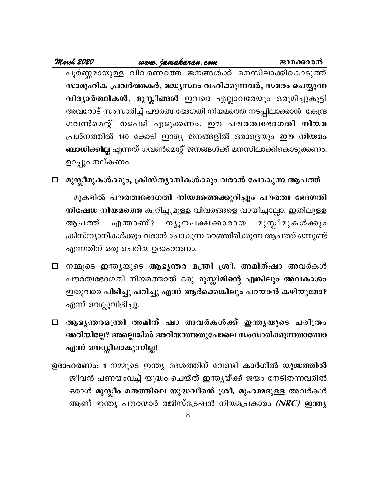ജാമക്കാരൻ

പൂർണ്ണമായുള്ള വിവരണത്തെ ജനങ്ങൾക്ക് മനസിലാക്കികൊടുത്ത് സാമൂഹിക പ്രവർത്തകർ, മദ്ധ്യസ്ഥം വഹിക്കുന്നവർ, സമരം ചെയ്യുന്ന വിദ്യാർത്ഥികൾ, മുസ്ലീങ്ങൾ ഇവരെ എല്ലാവരേയും ഒരുമിച്ചുകൂട്ടി അവരോട് സംസാരിച്ച് പൗരത്വ ഭേദഗതി നിയമത്തെ നടപ്പിലാക്കാൻ കേന്ദ്ര ഗവൺമെന്റ് നടപടി എടുക്കണം. ഈ **പൗരത്വഭേദഗതി നിയമ** പ്രശ്നത്തിൽ 140 കോടി ഇന്ത്യ ജനങ്ങളിൽ ഒരാളെയും **ഈ നിയമം** ബാധിക്കില്ല എന്നത് ഗവൺമെന്റ് ജനങ്ങൾക്ക് മനസിലാക്കികൊടുക്കണം. ഉറപ്പും നല്കണം.

മുസ്ലീമുകൾക്കും, ക്രിസ്ത്യാനികൾക്കും വരാൻ പോകുന്ന ആപത്ത്  $\Box$ 

മുകളിൽ പൗരത്വഭേദഗതി നിയമത്തെക്കുറിച്ചും പൗരത്വ ഭേദഗതി നിഷേധ നിയമത്തെ കുറിച്ചുമുള്ള വിവരങ്ങളെ വായിച്ചല്ലോ. ഇതിലുള്ള മുസ്ലീമുകൾക്കും ആ പത്ത് എന്താണ്? ന്യൂനപക്ഷക്കാരായ ക്രിസ്ത്യാനികൾക്കും വരാൻ പോകുന്ന മറഞ്ഞിരിക്കുന്ന ആപത്ത് ഒന്നുണ്ട് എന്നതിന് ഒരു ചെറിയ ഉദാഹരണം.

- □ നമ്മുടെ ഇന്ത്യയുടെ ആഭൃതര മന്ത്രി ശ്രീ. അമിത്ഷാ അവർകൾ പൗരത്വഭേദഗതി നിയമത്താൽ ഒരു മുസ്ലീമിന്റെ എങ്കിലും അവകാശം ഇതുവരെ പിടിച്ചു പറിച്ചു എന്ന് ആർക്കെങ്കിലും പറയാൻ കഴിയുമോ? എന്ന് വെല്ലുവിളിച്ചു.
- □ ആഭൃന്തരമന്ത്രി അമിത് ഷാ അവർകൾക്ക് ഇന്തൃയുടെ ചരിത്രം അറിയില്ലേ? അല്ലെങ്കിൽ അറിയാത്തതുപോലെ സംസാരിക്കുന്നതാണോ എന്ന് മനസ്സിലാകുന്നില്ല!
- ഉദാഹരണം: 1 നമ്മുടെ ഇന്ത്യ ദേശത്തിന് വേണ്ടി കാർഗിൽ യുദ്ധത്തിൽ ജീവൻ പണയംവച്ച് യുദ്ധം ചെയ്ത് ഇന്ത്യയ്ക്ക് ജയം നേടിതന്നവരിൽ ഒരാൾ <mark>മുസ്ലീം മതത്തിലെ യുദ്ധവീരൻ ശ്രീ. മുഹമ്മദുള്ള</mark> അവർകൾ ആണ് ഇന്ത്യ പൗരന്മാർ രജിസ്ട്രേഷൻ നിയമപ്രകാരം *(NRC)* ഇന്ത്യ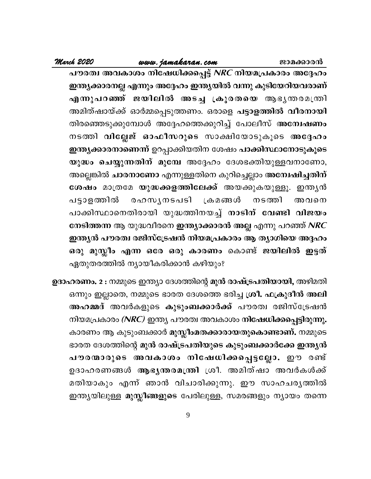ജാമക്കാരൻ

### www.jamakaran.com

March 2020

പൗരത്വ അവകാശം നിഷേധിക്കപ്പെട്ട് *NRC* നിയമപ്രകാരം അദ്ദേഹം ഇന്ത്യക്കാരനല്ല എന്നും അദ്ദേഹം ഇന്ത്യയിൽ വന്നു കുടിയേറിയവരാണ് എന്നുപറഞ്ഞ് ജയിലിൽ അടച്ച ക്രൂരതയെ ആഭൃതരമന്ത്രി അമിത്ഷായ്ക്ക് ഓർമ്മപ്പെടുത്തണം. ഒരാളെ പട്ടാളത്തിൽ വീരനായി തിരഞ്ഞെടുക്കുമ്പോൾ അദ്ദേഹത്തെക്കുറിച്ച് പോലീസ് അ**ന്വേഷണം** നടത്തി വില്ലേജ് ഓഫീസറുടെ സാക്ഷിയോടുകൂടെ അദ്ദേഹം ഇന്ത്യക്കാരനാണെന്ന് ഉറപ്പാക്കിയതിന ശേഷം പാക്കിസ്ഥാനോടുകൂടെ യുദ്ധം ചെയ്യുന്നതിന് മുമ്പേ അദ്ദേഹം ദേശഭക്തിയുള്ളവനാണോ, അല്ലെങ്കിൽ ചാരനാണോ എന്നുള്ളതിനെ കുറിച്ചെല്ലാം അന്വേഷിച്ചതിന് ശേഷം മാത്രമേ യുദ്ധക്കളത്തിലേക്ക് അയക്കുകയുള്ളൂ. ഇന്ത്യൻ രഹസൃനടപടി **്രക മങ്ങൾ** നടത്തി പട്ടാളത്തിൽ അവനെ പാക്കിസ്ഥാനെതിരായി യുദ്ധത്തിനയച്ച് നാടിന് വേണ്ടി വിജയം നേടിത്തന്ന ആ യുദ്ധവീരനെ ഇന്ത്യാക്കാരൻ അല്ല എന്നു പറഞ്ഞ് NRC ഇന്ത്യൻ പൗരത്വ രജിസ്ട്രേഷൻ നിയമപ്രകാരം ആ ത്യാഗിയെ അദ്ദഹം ഒരു മുസ്ലീം എന്ന ഒരേ ഒരു കാരണം കൊണ്ട് ജയിലിൽ ഇട്ടത് ഏതുതരത്തിൽ ന്യായീകരിക്കാൻ കഴിയും?

ഉദാഹരണം. 2 : നമ്മുടെ ഇന്ത്യാ ദേശത്തിന്റെ മുൻ രാഷ്ട്രപതിയായി, അഴിമതി ഒന്നും ഇല്ലാതെ, നമ്മുടെ ഭാരത ദേശത്തെ ഭരിച്ച ശ്രീ. ഫക്രുദീൻ അലി അഹമ്മദ് അവർകളുടെ കുടുംബക്കാർക്ക് പൗരത്വ രജിസ്ട്രേഷൻ നിയമപ്രകാരം (NRC) ഇന്ത്യ പൗരത്വ അവകാശം നിഷേധിക്കപ്പെട്ടിരുന്നു. കാരണം ആ കുടുംബക്കാർ **മുസ്ലീംമതക്കാരായതുകൊണ്ടാണ്.** നമ്മുടെ ഭാരത ദേശത്തിന്റെ മുൻ രാഷ്ട്രപതിയുടെ കുടുംബക്കാർക്കേ ഇന്ത്യൻ പൗരന്മാരുടെ അവകാശം നിഷേധിക്കപ്പെട്ടല്ലോ. ഈ രണ്ട് ഉദാഹരണങ്ങൾ ആഭൃന്തരമന്ത്രി ശ്രീ. അമിത്ഷാ അവർകൾക്ക് മതിയാകും എന്ന് ഞാൻ വിചാരിക്കുന്നു. ഈ സാഹചരൃത്തിൽ ഇന്ത്യയിലുള്ള മുസ്ലീങ്ങളുടെ പേരിലുള്ള, സമരങ്ങളും ന്യായം തന്നെ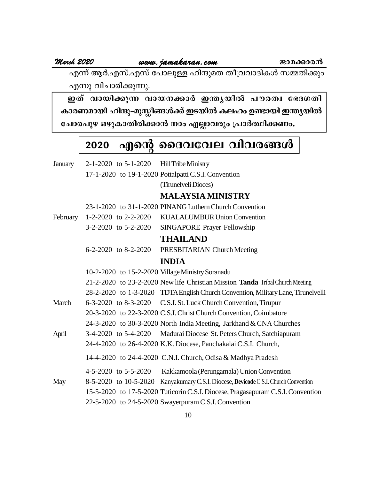**March <sup>2020</sup> www.jamakaran.com Pma¡mc³** F¶v BÀ.Fkv.Fkv t]mepÅ lnµpaX Xo{hhmZnIÄ k½Xn¡pw എന്നു വിചാരിക്കുന്നു.

**CX v hmbn¡p¶ hmb\¡mÀ C´ybn ]ucXz t`ZKXn** കാരണമായി ഹിന്ദു-മുസ്ലീങ്ങൾക്ക് ഇടയിൽ കലഹം ഉണ്ടായി ഇന്ത്യയിൽ ചോരപുഴ ഒഴുകാതിരിക്കാൻ നാം എല്ലാവരും പ്രാർത്ഥിക്കണം.

# 2020 എന്റെ ദൈവവേല വിവരങ്ങൾ

| January  | $2-1-2020$ to $5-1-2020$ Hill Tribe Ministry     |                                                                                     |
|----------|--------------------------------------------------|-------------------------------------------------------------------------------------|
|          |                                                  | 17-1-2020 to 19-1-2020 Pottalpatti C.S.I. Convention                                |
|          |                                                  | (Tirunelveli Dioces)                                                                |
|          |                                                  | <b>MALAYSIA MINISTRY</b>                                                            |
|          |                                                  | 23-1-2020 to 31-1-2020 PINANG Luthern Church Convention                             |
| February |                                                  | 1-2-2020 to 2-2-2020 KUALALUMBUR Union Convention                                   |
|          | $3-2-2020$ to $5-2-2020$                         | SINGAPORE Prayer Fellowship                                                         |
|          |                                                  | <b>THAILAND</b>                                                                     |
|          | $6-2-2020$ to $8-2-2020$                         | PRESBITARIAN Church Meeting                                                         |
|          |                                                  | <b>INDIA</b>                                                                        |
|          | 10-2-2020 to 15-2-2020 Village Ministry Soranadu |                                                                                     |
|          |                                                  | 21-2-2020 to 23-2-2020 New life Christian Mission Tanda Tribal Church Meeting       |
|          |                                                  | 28-2-2020 to 1-3-2020 TDTA English Church Convention, Military Lane, Tirunelvelli   |
| March    |                                                  | 6-3-2020 to 8-3-2020 C.S.I. St. Luck Church Convention, Tirupur                     |
|          |                                                  | 20-3-2020 to 22-3-2020 C.S.I. Christ Church Convention, Coimbatore                  |
|          |                                                  | 24-3-2020 to 30-3-2020 North India Meeting, Jarkhand & CNA Churches                 |
| April    |                                                  | 3-4-2020 to 5-4-2020 Madurai Diocese St. Peters Church, Satchiapuram                |
|          |                                                  | 24-4-2020 to 26-4-2020 K.K. Diocese, Panchakalai C.S.I. Church,                     |
|          |                                                  | 14-4-2020 to 24-4-2020 C.N.I. Church, Odisa & Madhya Pradesh                        |
|          | $4-5-2020$ to $5-5-2020$                         | Kakkamoola (Perungamala) Union Convention                                           |
| May      |                                                  | 8-5-2020 to 10-5-2020 Kanyakumary C.S.I. Diocese, Devicode C.S.I. Church Convention |
|          |                                                  | 15-5-2020 to 17-5-2020 Tuticorin C.S.I. Diocese, Pragasapuram C.S.I. Convention     |
|          |                                                  | 22-5-2020 to 24-5-2020 Swayerpuram C.S.I. Convention                                |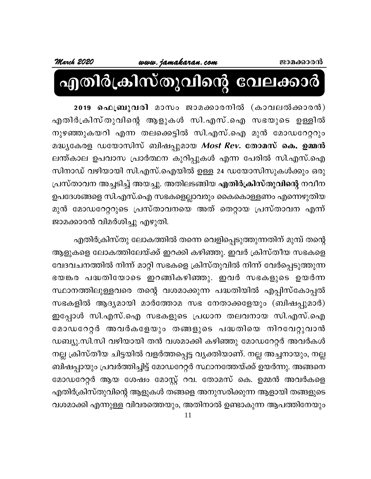# എതിർക്രിസ്തുവിന്റെ വേലക്കാർ

2019 ഫെബ്രുവരി മാസം ജാമക്കാരനിൽ (കാവലൽക്കാരൻ) എതിർക്രിസ്തുവിന്റെ ആളുകൾ സി.എസ്.ഐ സഭയുടെ ഉള്ളിൽ നുഴഞ്ഞുകയറി എന്ന തലക്കെട്ടിൽ സി.എസ്.ഐ മുൻ മോഡറേറ്ററും മദ്ധ്യകേരള ഡയോസിസ് ബിഷപ്പുമായ *Most Rev.* തോമസ് കെ. ഉമ്മൻ ലന്ത്കാല ഉപവാസ പ്രാർത്ഥന കുറിപ്പുകൾ എന്ന പേരിൽ സി.എസ്.ഐ സിനാഡ് വഴിയായി സി.എസ്.ഐയിൽ ഉള്ള 24 ഡയോസിസുകൾക്കും ഒരു പ്രസ്താവന അച്ചടിച്ച് അയച്ചു. അതിലടങ്ങിയ എതിർക്രിസ്തുവിന്റെ നവീന ഉപദേശങ്ങളെ സി.എസ്.ഐ സഭകളെല്ലാവരും കൈകൊള്ളണം എന്നെഴുതിയ മുൻ മോഡറേറ്ററുടെ പ്രസ്താവനയെ അത് തെറ്റായ പ്രസ്താവന എന്ന് ജാമക്കാരൻ വിമർശിച്ചു എഴുതി.

എതിർക്രിസ്തു ലോകത്തിൽ തന്നെ വെളിപ്പെടുത്തുന്നതിന് മുമ്പ് തന്റെ ആളുകളെ ലോകത്തിലേയ്ക്ക് ഇറക്കി കഴിഞ്ഞു. ഇവർ ക്രിസ്തീയ സഭകളെ വേദവചനത്തിൽ നിന്ന് മാറ്റി സഭകളെ ക്രിസ്തുവിൽ നിന്ന് വേർപ്പെടുത്തുന്ന ഭയങ്കര പദ്ധതിയോടെ ഇറങ്ങികഴിഞ്ഞു. ഇവർ സഭകളുടെ ഉയർന്ന സ്ഥാനത്തിലുള്ളവരെ തന്റെ വശമാക്കുന്ന പദ്ധതിയിൽ എപ്പിസ്കോപ്പൽ സഭകളിൽ ആദ്യമായി മാർത്തോമ സഭ നേതാക്കളേയും (ബിഷപ്പുമാർ) ഇപ്പോൾ സി.എസ്.ഐ സഭകളുടെ പ്രധാന തലവനായ സി.എസ്.ഐ മോഡറേറ്റർ അവർകളേയും തങ്ങളുടെ പദ്ധതിയെ നിറവേറ്റുവാൻ ഡബ്യു.സി.സി വഴിയായി തൻ വശമാക്കി കഴിഞ്ഞു മോഡറേറ്റർ അവർകൾ നല്ല ക്രിസ്തീയ ചിട്ടയിൽ വളർത്തപ്പെട്ട വ്യക്തിയാണ്. നല്ല അച്ചനായും, നല്ല ബിഷപ്പായും പ്രവർത്തിച്ചിട്ട് മോഡറേറ്റർ സ്ഥാനത്തേയ്ക്ക് ഉയർന്നു. അങ്ങനെ മോഡറേറ്റർ ആയ ശേഷം മോസ്റ്റ് റവ. തോമസ് കെ. ഉമ്മൻ അവർകളെ എതിർക്രിസ്തുവിന്റെ ആളുകൾ തങ്ങളെ അനുസരിക്കുന്ന ആളായി തങ്ങളുടെ വശമാക്കി എന്നുള്ള വിവരത്തെയും, അതിനാൽ ഉണ്ടാകുന്ന ആപത്തിനേയും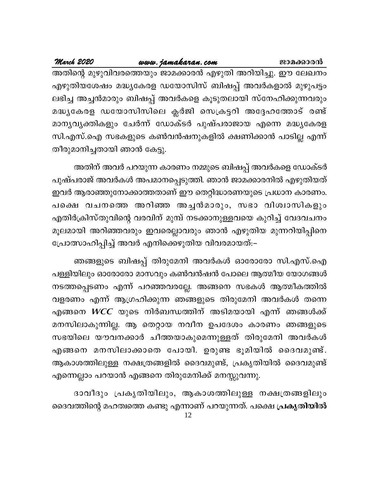www.jamakaran.com March 2020 ജാമക്കാരൻ അതിന്റെ മുഴുവിവരത്തെയും ജാമക്കാരൻ എഴുതി അറിയിച്ചു. ഈ ലേഖനം എഴുതിയശേഷം മദ്ധ്യകേരള ഡയോസിസ് ബിഷപ്പ് അവർകളാൽ മുഴുപട്ടം ലഭിച്ച അച്ചൻമാരും ബിഷപ്പ് അവർകളെ കൂടുതലായി സ്നേഹിക്കുന്നവരും മദ്ധ്യകേരള ഡയോസിസിലെ ക്ലർജി സെക്രട്ടറി അദ്ദേഹത്തോട് രണ്ട് മാനൃവൃക്തികളും ചേർന്ന് ഡോക്ടർ പുഷ്പരാജായ എന്നെ മദ്ധ്യകേരള സി.എസ്.ഐ സഭകളുടെ കൺവൻഷനുകളിൽ ക്ഷണിക്കാൻ പാടില്ല എന്ന് തീരുമാനിച്ചതായി ഞാൻ കേട്ടു.

അതിന് അവർ പറയുന്ന കാരണം നമ്മുടെ ബിഷപ്പ് അവർകളെ ഡോക്ടർ പുഷ്പരാജ് അവർകൾ അപമാനപ്പെടുത്തി. ഞാൻ ജാമക്കാരനിൽ എഴുതിയത് ഇവർ ആരാഞ്ഞുനോക്കാത്തതാണ് ഈ തെറ്റിദ്ധാരണയുടെ പ്രധാന കാരണം. പക്ഷെ വചനത്തെ അറിഞ്ഞ അച്ചൻമാരും, സഭാ വിശ്വാസികളും എതിർക്രിസ്തുവിന്റെ വരവിന് മുമ്പ് നടക്കാനുള്ളവയെ കുറിച്ച് വേദവചനം മൂലമായി അറിഞ്ഞവരും ഇവരെല്ലാവരും ഞാൻ എഴുതിയ മുന്നറിയിപ്പിനെ പ്രോത്സാഹിപ്പിച്ച് അവർ എനിക്കെഴുതിയ വിവരമായത്:–

ഞങ്ങളുടെ ബിഷപ്പ് തിരുമേനി അവർകൾ ഓരോരോ സി.എസ്.ഐ പള്ളിയിലും ഓരോരോ മാസവും കൺവൻഷൻ പോലെ ആത്മീയ യോഗങ്ങൾ നടത്തപ്പെടണം എന്ന് പറഞ്ഞവരല്ലേ. അങ്ങനെ സഭകൾ ആത്മീകത്തിൽ വളരണം എന്ന് ആഗ്രഹിക്കുന്ന ഞങ്ങളുടെ തിരുമേനി അവർകൾ തന്നെ എങ്ങനെ  $WCC$  യുടെ നിർബന്ധത്തിന് അടിമയായി എന്ന് ഞങ്ങൾക്ക് മനസിലാകുന്നില്ല. ആ തെറ്റായ നവീന ഉപദേശം കാരണം ഞങ്ങളുടെ സഭയിലെ യൗവനക്കാർ ചീത്തയാകുമെന്നുള്ളത് തിരുമേനി അവർകൾ എങ്ങനെ മനസിലാക്കാതെ പോയി. ഉരുണ്ട ഭൂമിയിൽ ദൈവമുണ്ട്. ആകാശത്തിലുള്ള നക്ഷത്രങ്ങളിൽ ദൈവമുണ്ട്, പ്രകൃതിയിൽ ദൈവമുണ്ട് എന്നെല്ലാം പറയാൻ എങ്ങനെ തിരുമേനിക്ക് മനസ്സുവന്നു.

ദാവീദും പ്രകൃതിയിലും, ആകാശത്തിലുള്ള നക്ഷത്രങ്ങളിലും ദൈവത്തിന്റെ മഹത്വത്തെ കണ്ടു എന്നാണ് പറയുന്നത്. പക്ഷെ **പ്രകൃതിയി**ൽ 12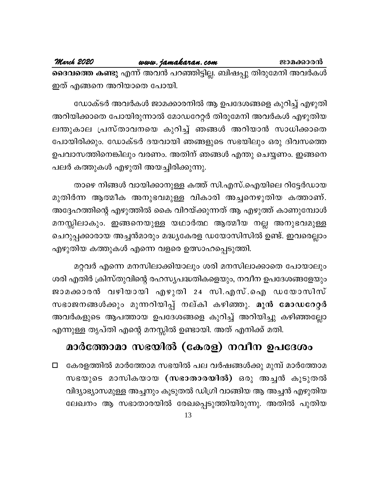<mark>ദൈവത്തെ കണ്ടു</mark> എന്ന് അവൻ പറഞ്ഞിട്ടില്ല. ബിഷപ്പു തിരുമേനി അവർകൾ ഇത് എങ്ങനെ അറിയാതെ പോയി.

ഡോക്ടർ അവർകൾ ജാമക്കാരനിൽ ആ ഉപദേശങ്ങളെ കുറിച്ച് എഴുതി അറിയിക്കാതെ പോയിരുന്നാൽ മോഡറേറ്റർ തിരുമേനി അവർകൾ എഴുതിയ ലന്തുകാല പ്രസ്താവനയെ കുറിച്ച് ഞങ്ങൾ അറിയാൻ സാധിക്കാതെ പോയിരിക്കും. ഡോക്ടർ ദയവായി ഞങ്ങളുടെ സഭയിലും ഒരു ദിവസത്തെ ഉപവാസത്തിനെങ്കിലും വരണം. അതിന് ഞങ്ങൾ എന്തു ചെയ്യണം. ഇങ്ങനെ പലർ കത്തുകൾ എഴുതി അയച്ചിരിക്കുന്നു.

താഴെ നിങ്ങൾ വായിക്കാനുള്ള കത്ത് സി.എസ്.ഐയിലെ റിട്ടേർഡായ മുതിർന്ന ആത്മീക അനുഭവമുള്ള വികാരി അച്ചനെഴുതിയ കത്താണ്. അദ്ദേഹത്തിന്റെ എഴുത്തിൽ കൈ വിറയ്ക്കുന്നത് ആ എഴുത്ത് കാണുമ്പോൾ മനസ്സിലാകും. ഇങ്ങനെയുള്ള യഥാർത്ഥ ആത്മീയ നല്ല അനുഭവമുള്ള ചെറുപ്പക്കാരായ അച്ചൻമാരും മദ്ധ്യകേരള ഡയോസിസിൽ ഉണ്ട്. ഇവരെല്ലാം എഴുതിയ കത്തുകൾ എന്നെ വളരെ ഉത്സാഹപ്പെടുത്തി.

മറ്റവർ എന്നെ മനസിലാക്കിയാലും ശരി മനസിലാക്കാതെ പോയാലും ശരി എതിർ ക്രിസ്തുവിന്റെ രഹസ്യപദ്ധതികളെയും, നവീന ഉപദേശങ്ങളേയും ജാമക്കാരൻ വഴിയായി എഴുതി 24 സി.എസ്.ഐ ഡയോസിസ് സഭാജനങ്ങൾക്കും മുന്നറിയിപ്പ് നല്കി കഴിഞ്ഞു. മുൻ മോഡറേറ്റർ അവർകളുടെ ആപത്തായ ഉപദേശങ്ങളെ കുറിച്ച് അറിയിച്ചു കഴിഞ്ഞല്ലോ എന്നുള്ള തൃപ്തി എന്റെ മനസ്സിൽ ഉണ്ടായി. അത് എനിക്ക് മതി.

# മാർത്തോമാ സഭയിൽ (കേരള) നവീന ഉപദേശം

കേരളത്തിൽ മാർത്തോമ സഭയിൽ പല വർഷങ്ങൾക്കു മുമ്പ് മാർത്തോമ  $\Box$ സഭയുടെ മാസികയായ (സഭാതാരയിൽ) ഒരു അച്ചൻ കൂടുതൽ വിദ്യാഭ്യാസമുള്ള അച്ചനും കൂടുതൽ ഡിഗ്രി വാങ്ങിയ ആ അച്ചൻ എഴുതിയ ലേഖനം ആ സഭാതാരയിൽ രേഖപ്പെടുത്തിയിരുന്നു. അതിൽ പുതിയ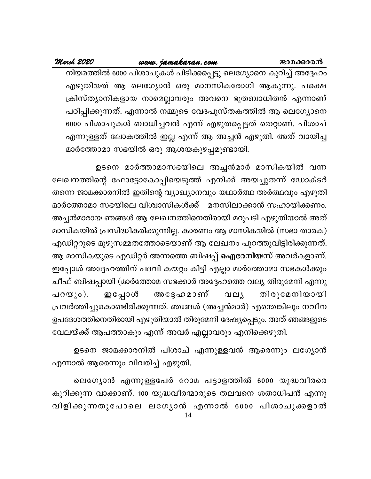### ജാമക്കാരൻ

### www.jamakaran.com

### March 2020

നിയമത്തിൽ 6000 പിശാചുകൾ പിടിക്കപ്പെട്ടു ലെഗ്യോനെ കുറിച്ച് അദ്ദേഹം എഴുതിയത് ആ ലെഗ്യോൻ ഒരു മാനസികരോഗി ആകുന്നു. പക്ഷെ ക്രിസ്ത്യാനികളായ നാമെല്ലാവരും അവനെ ഭൂതബാധിതൻ എന്നാണ് പഠിപ്പിക്കുന്നത്. എന്നാൽ നമ്മുടെ വേദപുസ്തകത്തിൽ ആ ലെഗ്യോനെ 6000 പിശാചുകൾ ബാധിച്ചവൻ എന്ന് എഴുതപ്പെട്ടത് തെറ്റാണ്. പിശാച് എന്നുള്ളത് ലോകത്തിൽ ഇല്ല എന്ന് ആ അച്ചൻ എഴുതി. അത് വായിച്ച മാർത്തോമാ സഭയിൽ ഒരു ആശയകുഴപ്പമുണ്ടായി.

ഉടനെ മാർത്താമാസഭയിലെ അച്ചൻമാർ മാസികയിൽ വന്ന ലേഖനത്തിന്റെ ഫോട്ടോകോപ്പിയെടുത്ത് എനിക്ക് അയച്ചുതന്ന് ഡോക്ടർ തന്നെ ജാമക്കാരനിൽ ഇതിന്റെ വ്യാഖ്യാനവും യഥാർത്ഥ അർത്ഥവും എഴുതി മാർത്തോമാ സഭയിലെ വിശ്വാസികൾക്ക് മനസിലാക്കാൻ സഹായിക്കണം. അച്ചൻമാരായ ഞങ്ങൾ ആ ലേഖനത്തിനെതിരായി മറുപടി എഴുതിയാൽ അത് മാസികയിൽ പ്രസിദ്ധീകരിക്കുന്നില്ല. കാരണം ആ മാസികയിൽ (സഭാ താരക) എഡിറ്ററുടെ മുഴുസമ്മതത്തോടെയാണ് ആ ലേഖനം പുറത്തുവിട്ടിരിക്കുന്നത്. ആ മാസികയുടെ എഡിറ്റർ അന്നത്തെ ബിഷപ്പ് **ഐറേനിയസ്** അവർകളാണ്. ഇപ്പോൾ അദ്ദേഹത്തിന് പദവി കയറ്റം കിട്ടി എല്ലാ മാർത്തോമാ സഭകൾക്കും ചീഫ് ബിഷപ്പായി (മാർത്തോമ സഭക്കാർ അദ്ദേഹത്തെ വല്യ തിരുമേനി എന്നു അദ്ദേഹമാണ് പറയും). ഇപ്പോൾ തിരുമേനിയായി വലു പ്രവർത്തിച്ചുകൊണ്ടിരിക്കുന്നത്. ഞങ്ങൾ (അച്ചൻമാർ) എന്തെങ്കിലും നവീന ഉപദേശത്തിനെതിരായി എഴുതിയാൽ തിരുമേനി ദേഷ്യപ്പെടും. അത് ഞങ്ങളുടെ വേലയ്ക്ക് ആപത്താകും എന്ന് അവർ എല്ലാവരും എനിക്കെഴുതി.

ഉടനെ ജാമക്കാരനിൽ പിശാച് എന്നുള്ളവൻ ആരെന്നും ലഗ്യോൻ എന്നാൽ ആരെന്നും വിവരിച്ച് എഴുതി.

ലെഗ്യോൻ എന്നുള്ളപേർ റോമ പട്ടാളത്തിൽ 6000 യുദ്ധവീരരെ കുറിക്കുന്ന വാക്കാണ്. 100 യുദ്ധവീരന്മാരുടെ തലവനെ ശതാധിപൻ എന്നു വിളിക്കുന്നതുപോലെ ലഗ്യോൻ എന്നാൽ 6000 പിശാചുക്കളാൽ 14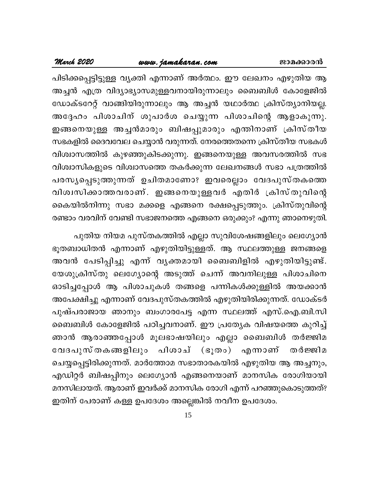### ജാമക്കാരൻ

### www.jamakaran.com

### March 2020

പിടിക്കപ്പെട്ടിട്ടുള്ള വ്യക്തി എന്നാണ് അർത്ഥം. ഈ ലേഖനം എഴുതിയ ആ അച്ചൻ എത്ര വിദ്യാഭ്യാസമുള്ളവനായിരുന്നാലും ബൈബിൾ കോളേജിൽ ഡോക്ടറേറ്റ് വാങ്ങിയിരുന്നാലും ആ അച്ചൻ യഥാർത്ഥ ക്രിസ്ത്യാനിയല്ല. അദ്ദേഹം പിശാചിന് ശുപാർശ ചെയ്യുന്ന പിശാചിന്റെ ആളാകുന്നു. ഇങ്ങനെയുള്ള അച്ചൻമാരും ബിഷപ്പുമാരും എന്തിനാണ് ക്രിസ്തീയ സഭകളിൽ ദൈവവേല ചെയ്യാൻ വരുന്നത്. നേരത്തെതന്നെ ക്രിസ്തീയ സഭകൾ വിശ്വാസത്തിൽ കുഴഞ്ഞുകിടക്കുന്നു. ഇങ്ങനെയുള്ള അവസരത്തിൽ സഭ വിശ്വാസികളുടെ വിശ്വാസത്തെ തകർക്കുന്ന ലേഖനങ്ങൾ സഭാ പത്രത്തിൽ പരസ്യപ്പെടുത്തുന്നത് ഉചിതമാണോ? ഇവരെല്ലാം വേദപുസ്തകത്തെ വിശ്വസിക്കാത്തവരാണ്. ഇങ്ങനെയുള്ളവർ എതിർ ക്രിസ്തുവിന്റെ കൈയിൽനിന്നു സഭാ മക്കളെ എങ്ങനെ രക്ഷപ്പെടുത്തും. ക്രിസ്തുവിന്റെ രണ്ടാം വരവിന് വേണ്ടി സഭാജനത്തെ എങ്ങനെ ഒരുക്കും? എന്നു ഞാനെഴുതി.

പുതിയ നിയമ പുസ്തകത്തിൽ എല്ലാ സുവിശേഷങ്ങളിലും ലെഗ്യോൻ ഭൂതബാധിതൻ എന്നാണ് എഴുതിയിട്ടുള്ളത്. ആ സ്ഥലത്തുള്ള ജനങ്ങളെ അവൻ പേടിപ്പിച്ചു എന്ന് വൃക്തമായി ബൈബിളിൽ എഴുതിയിട്ടുണ്ട്. യേശുക്രിസ്തു ലെഗ്യോന്റെ അടുത്ത് ചെന്ന് അവനിലുള്ള പിശാചിനെ ഓടിച്ചപ്പോൾ ആ പിശാചുകൾ തങ്ങളെ പന്നികൾക്കുള്ളിൽ അയക്കാൻ അപേക്ഷിച്ചു എന്നാണ് വേദപുസ്തകത്തിൽ എഴുതിയിരിക്കുന്നത്. ഡോക്ടർ പുഷ്പരാജായ ഞാനും ബംഗാരപേട്ട എന്ന സ്ഥലത്ത് എസ്.ഐ.ബി.സി ബൈബിൾ കോളേജിൽ പഠിച്ചവനാണ്. ഈ പ്രത്യേക വിഷയത്തെ കുറിച്ച് ഞാൻ ആരാഞ്ഞപ്പോൾ മൂലഭാഷയിലും എല്ലാ ബൈബിൾ തർജ്ജിമ വേദപുസ്തകങ്ങളിലും പിശാച് (ഭൂതം) എന്നാണ് തർജ്ജിമ ചെയ്യപ്പെട്ടിരിക്കുന്നത്. മാർത്തോമ സഭാതാരകയിൽ എഴുതിയ ആ അച്ചനും, എഡിറ്റർ ബിഷപ്പിനും ലെഗ്യോൻ എങ്ങനെയാണ് മാനസിക രോഗിയായി മനസിലായത്. ആരാണ് ഇവർക്ക് മാനസിക രോഗി എന്ന് പറഞ്ഞുകൊടുത്തത്? ഇതിന് പേരാണ് കള്ള ഉപദേശം അല്ലെങ്കിൽ നവീന ഉപദേശം.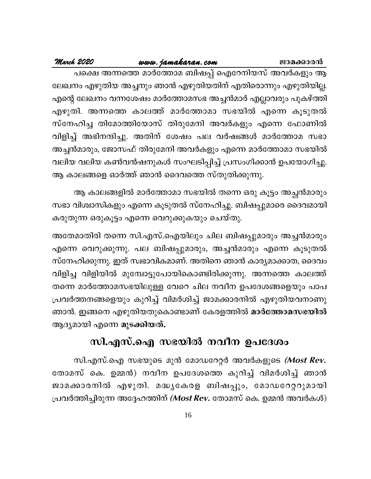### www.jamakaran.com

### March 2020

പക്ഷെ അന്നത്തെ മാർത്തോമ ബിഷപ്പ് ഐറേനിയസ് അവർകളും ആ ലേഖനം എഴുതിയ അച്ചനും ഞാൻ എഴുതിയതിന് എതിരൊന്നും എഴുതിയില്ല. എന്റെ ലേഖനം വന്നശേഷം മാർത്തോമസഭ അച്ചൻമാർ എല്ലാവരും പുകഴ്ത്തി എഴുതി. അന്നത്തെ കാലത്ത് മാർത്തോമാ സഭയിൽ എന്നെ കൂടുതൽ സ്നേഹിച്ച തിമോത്തിയോസ് തിരുമേനി അവർകളും എന്നെ ഫോണിൽ വിളിച്ച് അഭിനന്ദിച്ചു. അതിന് ശേഷം പല വർഷങ്ങൾ മാർത്തോമ സഭാ അച്ചൻമാരും, ജോസഫ് തിരുമേനി അവർകളും എന്നെ മാർത്തോമാ സഭയിൽ വലിയ വലിയ കൺവൻഷനുകൾ സംഘടിപ്പിച്ച് പ്രസംഗിക്കാൻ ഉപയോഗിച്ചു. ആ കാലങ്ങളെ ഓർത്ത് ഞാൻ ദൈവത്തെ സ്തുതിക്കുന്നു.

ആ കാലങ്ങളിൽ മാർത്തോമാ സഭയിൽ തന്നെ ഒരു കൂട്ടം അച്ഛൻമാരും സഭാ വിശ്വാസികളും എന്നെ കൂടുതൽ സ്നേഹിച്ചു. ബിഷപ്പുമാരെ ദൈവമായി കരുതുന്ന ഒരുകൂട്ടം എന്നെ വെറുക്കുകയും ചെയ്തു.

അതേമാതിരി തന്നെ സി.എസ്.ഐയിലും ചില ബിഷപ്പുമാരും അച്ചൻമാരും എന്നെ വെറുക്കുന്നു. പല ബിഷപ്പുമാരും, അച്ചൻമാരും എന്നെ കൂടുതൽ സ്നേഹിക്കുന്നു. ഇത് സ്വഭാവികമാണ്. അതിനെ ഞാൻ കാര്യമാക്കാത, ദൈവം വിളിച്ച വിളിയിൽ മുമ്പോട്ടുപോയികൊണ്ടിരിക്കുന്നു. അന്നത്തെ കാലത്ത് തന്നെ മാർത്തോമസഭയിലുള്ള വേറെ ചില നവീന ഉപദേശങ്ങളെയും പാപ പ്രവർത്തനങ്ങളെയും കുറിച്ച് വിമർശിച്ച് ജാമക്കാരനിൽ എഴുതിയവനാണു ഞാൻ. ഇങ്ങനെ എഴുതിയതുകൊണ്ടാണ് കേരളത്തിൽ മാർത്തോമസഭയിൽ ആദ്യമായി എന്നെ മുടക്കിയത്.

# സി.എസ്.ഐ സഭയിൽ നവീന ഉപദേശം

സി.എസ്.ഐ സഭയുടെ മുൻ മോഡറേറ്റർ അവർകളുടെ *(Most Rev.* തോമസ് കെ. ഉമ്മൻ) നവീന ഉപദേശത്തെ കുറിച്ച് വിമർശിച്ച് ഞാൻ ജാമക്കാരനിൽ എഴുതി. മദ്ധ്യകേരള ബിഷപ്പും, മോഡറേറ്ററുമായി പ്രവർത്തിച്ചിരുന്ന അദ്ദേഹത്തിന് *(Most Rev.* തോമസ് കെ. ഉമ്മൻ അവർകൾ)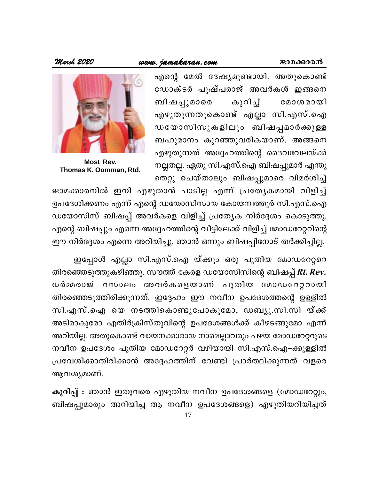### ജാമക്കാരൻ

### www.jamakaran.com

March 2020

എന്റെ മേൽ ദേഷ്യമുണ്ടായി. അതുകൊണ്ട് ഡോക്ടർ പുഷ്പരാജ് അവർകൾ ഇങ്ങനെ കുറിച്ച് ബിഷപ്പുമാരെ മോശമായി എഴുതുന്നതുകൊണ്ട് എല്ലാ സി.എസ്.ഐ ഡയോസിസുകളിലും ബിഷപ്പമാർക്കുള്ള ബഹുമാനം കുറഞ്ഞുവരികയാണ്. അങ്ങനെ എഴുതുന്നത് അദ്ദേഹത്തിന്റെ ദൈവവേലയ്ക്ക് നല്ലതല്ല. ഏതു സി.എസ്.ഐ ബിഷപ്പുമാർ എന്തു തെറ്റു ചെയ്താലും ബിഷപ്പുമാരെ വിമർശിച്ച്



Most Rev. Thomas K. Oomman, Rtd.

ജാമക്കാരനിൽ ഇനി എഴുതാൻ പാടില്ല എന്ന് പ്രത്യേകമായി വിളിച്ച് ഉപദേശിക്കണം എന്ന് എന്റെ ഡയോസിസായ കോയമ്പത്തൂർ സി.എസ്.ഐ ഡയോസിസ് ബിഷപ്പ് അവർകളെ വിളിച്ച് പ്രത്യേക നിർദ്ദേശം കൊടുത്തു. എന്റെ ബിഷപ്പും എന്നെ അദ്ദേഹത്തിന്റെ വീട്ടിലേക്ക് വിളിച്ച് മോഡറേറ്ററിന്റെ ഈ നിർദ്ദേശം എന്നെ അറിയിച്ചു. ഞാൻ ഒന്നും ബിഷപ്പിനോട് തർക്കിച്ചില്ല.

ഇപ്പോൾ എല്ലാ സി.എസ്.ഐ യ്ക്കും ഒരു പുതിയ മോഡറേറ്ററെ തിരഞ്ഞെടുത്തുകഴിഞ്ഞു. സൗത്ത് കേരള ഡയോസിസിന്റെ ബിഷപ്പ് Rt. Rev. ധർമ്മരാജ് റസാലം അവർകളെയാണ് പുതിയ മോഡറേറ്ററായി തിരഞ്ഞെടുത്തിരിക്കുന്നത്. ഇദ്ദേഹം ഈ നവീന ഉപദേശത്തന്റെ ഉള്ളിൽ സി.എസ്.ഐ യെ നടത്തികൊണ്ടുപോകുമോ, ഡബ്യു.സി.സി യ്ക്ക് അടിമാകുമോ എതിർക്രിസ്തുവിന്റെ ഉപദേശങ്ങൾക്ക് കീഴടങ്ങുമോ എന്ന് അറിയില്ല. അതുകൊണ്ട് വായനക്കാരായ നാമെല്ലാവരും പഴയ മോഡറേറ്ററുടെ നവീന ഉപദേശം പുതിയ മോഡറേറ്റർ വഴിയായി സി.എസ്.ഐ–ക്കുള്ളിൽ പ്രവേശിക്കാതിരിക്കാൻ അദ്ദേഹത്തിന് വേണ്ടി പ്രാർത്ഥിക്കുന്നത് വളരെ ആവശ്യമാണ്.

കുറിപ്പ് : ഞാൻ ഇതുവരെ എഴുതിയ നവീന ഉപദേശങ്ങളെ (മോഡറേറ്റും, ബിഷപ്പുമാരും അറിയിച്ച ആ നവീന ഉപദേശങ്ങളെ) എഴുതിയറിയിച്ചത്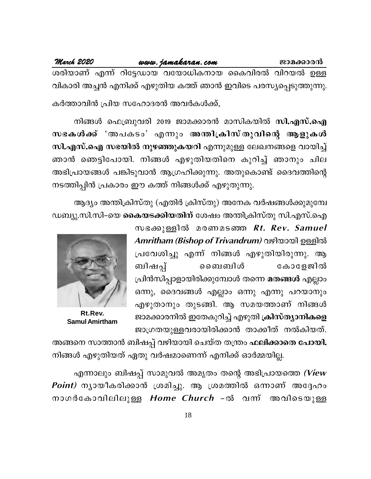March 2020

ശരിയാണ് എന്ന് റിട്ടേഡായ വയോധികനായ കൈവിരൽ വിറയൽ ഉള്ള വികാരി അച്ചൻ എനിക്ക് എഴുതിയ കത്ത് ഞാൻ ഇവിടെ പരസ്യപ്പെടുത്തുന്നു.

കർത്താവിൻ പ്രിയ സഹോദരൻ അവർകൾക്ക്,

നിങ്ങൾ ഫെബ്രുവരി 2019 ജാമക്കാരൻ മാസികയിൽ സി.എസ്.ഐ സഭകൾക്ക് 'അപകടം' എന്നും അന്തിക്രിസ്തുവിന്റെ ആളുകൾ സി.എസ്.ഐ സഭയിൽ നുഴഞ്ഞുകയറി എന്നുമുള്ള ലേഖനങ്ങളെ വായിച്ച് ഞാൻ ഞെട്ടിപോയി. നിങ്ങൾ എഴുതിയതിനെ കുറിച്ച് ഞാനും ചില അഭിപ്രായങ്ങൾ പങ്കിടുവാൻ ആഗ്രഹിക്കുന്നു. അതുകൊണ്ട് ദൈവത്തിന്റെ നടത്തിപ്പിൻ പ്രകാരം ഈ കത്ത് നിങ്ങൾക്ക് എഴുതുന്നു.

ആദ്യം അന്തിക്രിസ്തു (എതിർ ക്രിസ്തു) അനേക വർഷങ്ങൾക്കുമുമ്പേ ഡബ്യു.സി.സി–യെ **കൈയടക്കിയതിന്** ശേഷം അന്തിക്രിസ്തു സി.എസ്.ഐ

> സഭക്കുള്ളിൽ മരണമടഞ്ഞ Rt. Rev. Samuel Amritham (Bishop of Trivandrum) വഴിയായി ഉള്ളിൽ പ്രവേശിച്ചു എന്ന് നിങ്ങൾ എഴുതിയിരുന്നു. ആ ബിഷപ്പ് നൈബിൾ കോളേജിൽ പ്രിൻസിപ്പാളായിരിക്കുമ്പോൾ തന്നെ <mark>മതങ്ങൾ</mark> എല്ലാം ഒന്നു, ദൈവങ്ങൾ എല്ലാം ഒന്നു എന്നു പറയാനും എഴുതാനും തുടങ്ങി. ആ സമയത്താണ് നിങ്ങൾ ജാമക്കാരനിൽ ഇതേകുറിച്ച് എഴുതി ക്രിസ്ത്യാനികളെ ജാഗ്രതയുള്ളവരായിരിക്കാൻ താക്കീത് നൽകിയത്.



Rt.Rev. **Samul Amirtham** 

അങ്ങനെ സാത്താൻ ബിഷപ്പ് വഴിയായി ചെയ്ത തന്ത്രം ഫ<mark>ലിക്കാതെ പോയി.</mark> നിങ്ങൾ എഴുതിയത് ഏതു വർഷമാണെന്ന് എനിക്ക് ഓർമ്മയില്ല.

എന്നാലും ബിഷപ്പ് സാമുവൽ അമൃതം തന്റെ അഭിപ്രായത്തെ (View Point) ന്യായീകരിക്കാൻ ശ്രമിച്ചു. ആ ശ്രമത്തിൽ ഒന്നാണ് അദ്ദേഹം നാഗർകോവിലിലുള്ള Home Church -ൽ വന്ന് അവിടെയുള്ള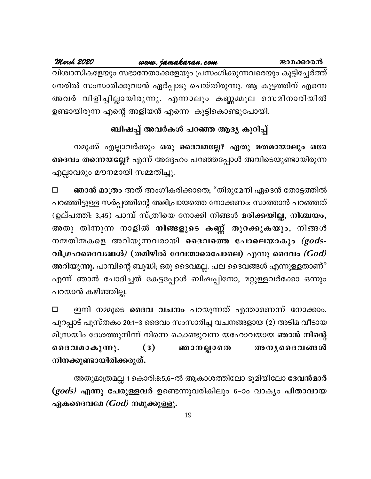### March 2020 www.jamakaran.com ജാമക്കാരൻ വിശ്വാസികളേയും സഭാനേതാക്കളേയും പ്രസംഗിക്കുന്നവരെയും കൂട്ടിച്ചേർത്ത് നേരിൽ സംസാരിക്കുവാൻ ഏർപ്പാടു ചെയ്തിരുന്നു. ആ കൂട്ടത്തിന് എന്നെ അവർ വിളിച്ചില്ലായിരുന്നു. എന്നാലും കണ്ണമ്മൂല സെമിനാരിയിൽ ഉണ്ടായിരുന്ന എന്റെ അളിയൻ എന്നെ കൂട്ടികൊണ്ടുപോയി.

# ബിഷപ്പ് അവർകൾ പറഞ്ഞ ആദ്യ കുറിപ്പ്

നമുക്ക് എല്ലാവർക്കും ഒരു ദൈവമല്ലേ? ഏതു മതമായാലും ഒരേ ദൈവം തന്നെയല്ലേ? എന്ന് അദ്ദേഹം പറഞ്ഞപ്പോൾ അവിടെയുണ്ടായിരുന്ന എല്ലാവരും മൗനമായി സമ്മതിച്ചു.

ഞാൻ മാത്രം അത് അംഗീകരിക്കാതെ; "തിരുമേനി ഏദെൻ തോട്ടത്തിൽ  $\Box$ പറഞ്ഞിട്ടുള്ള സർപ്പത്തിന്റെ അഭിപ്രായത്തെ നോക്കണം: സാത്താൻ പറഞ്ഞത് (ഉല്പത്തി: 3,45) പാമ്പ് സ്ത്രീയെ നോക്കി നിങ്ങൾ മരിക്കയില്ല, നിശ്ചയം, അതു തിന്നുന്ന നാളിൽ <mark>നിങ്ങളുടെ കണ്ണ് തുറക്കുകയും</mark>, നിങ്ങൾ നന്മതിന്മകളെ അറിയുന്നവരായി ദൈവത്തെ പോലെയാകും *(gods-*വിഗ്രഹദൈവങ്ങൾ $\ell$  (തമിഴിൽ ദേവന്മാരെപോലെ) എന്നു ദൈവം  $(God)$ അറിയുന്നു. പാമ്പിന്റെ ബുദ്ധി; ഒരു ദൈവമല്ല. പല ദൈവങ്ങൾ എന്നുള്ളതാണ്" എന്ന് ഞാൻ ചോദിച്ചത് കേട്ടപ്പോൾ ബിഷപ്പിനോ, മറ്റുള്ളവർക്കോ ഒന്നും പറയാൻ കഴിഞ്ഞില്ല.

ഇനി നമ്മുടെ ദൈവ വചനം പറയുന്നത് എന്താണെന്ന് നോക്കാം.  $\Box$ പുറപ്പാട് പുസ്തകം 20:1–3 ദൈവം സംസാരിച്ച വചനങ്ങളായ (2) അടിമ വീടായ മിസ്രയീം ദേശത്തുനിന്ന് നിന്നെ കൊണ്ടുവന്ന യഹോവയായ ഞാൻ നിന്റെ ദൈവമാകുന്നു. ഞാനല്ലാതെ അന്യദൈവങ്ങൾ  $(3)$ നിനക്കുണ്ടായിരിക്കരുത്.

അതുമാത്രമല്ല 1 കൊരി:8:5,6-ൽ ആകാശത്തിലോ ഭൂമിയിലോ **ദേവൻമാർ** (gods) എന്നു പേരുള്ളവർ ഉണ്ടെന്നുവരികിലും 6-ാം വാക്യം പിതാവായ ഏകദൈവമേ  $(God)$  നമുക്കുള്ളൂ.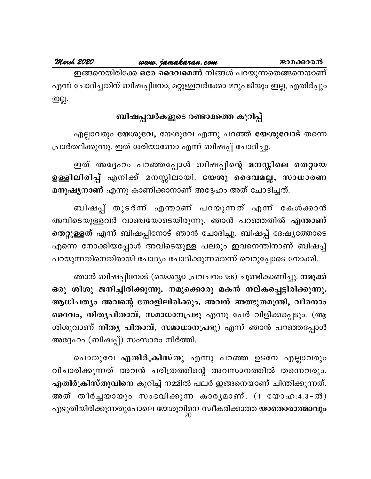ജാമക്കാരൻ

ഇങ്ങനെയിരിക്കേ ഒരേ ദൈവമെന്ന് നിങ്ങൾ പറയുന്നതെങ്ങനെയാണ് എന്ന് ചോദിച്ചതിന് ബിഷപ്പിനോ, മറ്റുള്ളവർക്കോ മറുപടിയും ഇല്ല, എതിർപ്പും ഇല്ല.

### ബിഷപ്പവർകളുടെ രണ്ടാമത്തെ കുറിപ്പ്

എല്ലാവരും യേശുവേ, യേശുവേ എന്നു പറഞ്ഞ് യേശുവോട് തന്നെ പ്രാർത്ഥിക്കുന്നു. ഇത് ശരിയാണോ എന്ന് ബിഷപ്പ് ചോദിച്ചു.

ഇത് അദ്ദേഹം പറഞ്ഞപ്പോൾ ബിഷപ്പിന്റെ മനസ്സിലെ തെറ്റായ ഉള്ളിലിരിപ്പ് എനിക്ക് മനസ്സിലായി. യേശു ദൈവമല്ല, സാധാരണ മനുഷ്യനാണ് എന്നു കാണിക്കാനാണ് അദ്ദേഹം അത് ചോദിച്ചത്.

ബിഷപ്പ് തുടർന്ന് എന്താണ് പറയുന്നത് എന്ന് കേൾക്കാൻ അവിടെയുള്ളവർ വാഞ്ചയോടെയിരുന്നു. ഞാൻ പറഞ്ഞതിൽ <mark>എന്താണ്</mark> തെറ്റുള്ളത് എന്ന് ബിഷപ്പിനോട് ഞാൻ ചോദിച്ചു. ബിഷപ്പ് ദേഷ്യത്തോടെ എന്നെ നോക്കിയപ്പോൾ അവിടെയുള്ള പലരും ഇവനെന്തിനാണ് ബിഷപ്പ് പറയുന്നതിനെതിരായി ചോദ്യം ചോദിക്കുന്നതെന്ന് വെറുപ്പോടെ നോക്കി.

ഞാൻ ബിഷപ്പിനോട് (യെശയ്യാ പ്രവചനം 9:6) ചൂണ്ടികാണിച്ചു. **നമുക്ക്** ഒരു ശിശു ജനിച്ചിരിക്കുന്നു. നമുക്കൊരു മകൻ നല്കപ്പെട്ടിരിക്കുന്നു. ആധിപത്യം അവന്റെ തോളിലിരിക്കും. അവന് അത്ഭുതമന്ത്രി, വീരനാം ദൈവം, നിതൃപിതാവ്, സമാധാനപ്രഭു എന്നു പേർ വിളിക്കപ്പെടും. (ആ ശിശുവാണ് നിത്യ പിതാവ്, സമാധാനപ്രഭു) എന്ന് ഞാൻ പറഞ്ഞപ്പോൾ അദ്ദേഹം (ബിഷപ്പ്) സംസാരം നിർത്തി.

പൊതുവേ എതിർക്രിസ്തു എന്നു പറഞ്ഞ ഉടനേ എല്ലാവരും വിചാരിക്കുന്നത് അവൻ ചരിത്രത്തിന്റെ അവസാനത്തിൽ തന്നെവരും. എതിർക്രിസ്തുവിനെ കുറിച്ച് നമ്മിൽ പലർ ഇങ്ങനെയാണ് ചിന്തിക്കുന്നത്. അത് തീർച്ചയായും സംഭവിക്കുന്ന കാര്യമാണ്. (1 യോഹ:4:3-ൽ) എഴുതിയിരിക്കുന്നതുപോലെ യേശുവിനെ സ്വീകരിക്കാത്ത **യാതൊരാത്മാവും**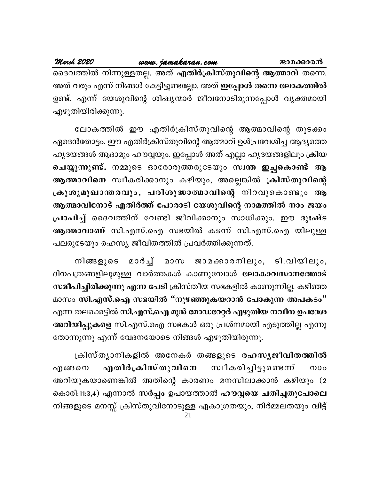March 2020 www.jamakaran.com ജാമക്കാരൻ ദൈവത്തിൽ നിന്നുള്ളതല്ല. അത് എതിർക്രിസ്തുവിന്റെ ആത്മാവ് തന്നെ. അത് വരും എന്ന് നിങ്ങൾ കേട്ടിട്ടുണ്ടല്ലോ. അത് **ഇപ്പോൾ തന്നെ ലോകത്തിൽ** ഉണ്ട്. എന്ന് യേശുവിന്റെ ശിഷ്യന്മാർ ജീവനോടിരുന്നപ്പോൾ വ്യക്തമായി എഴുതിയിരിക്കുന്നു.

ലോകത്തിൽ ഈ എതിർക്രിസ്തുവിന്റെ ആത്മാവിന്റെ തുടക്കം ഏദെൻതോട്ടം. ഈ എതിർക്രിസ്തുവിന്റെ ആത്മാവ് ഉൾപ്രവേശിച്ച ആദ്യത്തെ ഹൃദയങ്ങൾ ആദാമും ഹൗവ്വയും. ഇപ്പോൾ അത് എല്ലാ ഹൃദയങ്ങളിലും ക്രിയ ചെയ്യുന്നുണ്ട്. നമ്മുടെ ഓരോരുത്തരുടേയും സ്വന്ത ഇച്ഛകൊണ്ട് ആ ആത്മാവിനെ സ്വീകരിക്കാനും കഴിയും, അല്ലെങ്കിൽ ക്രിസ്തുവിന്റെ ക്രൂശുമുഖാന്തരവും, പരിശുദ്ധാത്മാവിന്റെ നിറവുകൊണ്ടും ആ ആത്മാവിനോട് എതിർത്ത് പോരാടി യേശുവിന്റെ നാമത്തിൽ നാം ജയം പ്രാപിച്ച് ദൈവത്തിന് വേണ്ടി ജീവിക്കാനും സാധിക്കും. ഈ ദുഃഷ്ട ആത്മാവാണ് സി.എസ്.ഐ സഭയിൽ കടന്ന് സി.എസ്.ഐ യിലുള്ള പലരുടേയും രഹസ്യ ജീവിതത്തിൽ പ്രവർത്തിക്കുന്നത്.

മാർച്ച് മാസ ജാമക്കാരനിലും, ടി.വിയിലും, നിങ്ങളുടെ ദിനപത്രങ്ങളിലുമുള്ള വാർത്തകൾ കാണുമ്പോൾ ലോകാവസാനത്തോട് സമീപിച്ചിരിക്കുന്നു എന്ന പേടി ക്രിസ്തീയ സഭകളിൽ കാണുന്നില്ല. കഴിഞ്ഞ മാസം സി.എസ്.ഐ സഭയിൽ "നുഴഞ്ഞുകയറാൻ പോകുന്ന അപകടം" എന്ന തലക്കെട്ടിൽ സി.എസ്.ഐ മുൻ മോഡറേറ്റർ എഴുതിയ നവീന ഉപദേശ അറിയിപ്പുകളെ സി.എസ്.ഐ സഭകൾ ഒരു പ്രശ്നമായി എടുത്തില്ല എന്നു തോന്നുന്നു എന്ന് വേദനയോടെ നിങ്ങൾ എഴുതിയിരുന്നു.

ക്രിസ്ത്യാനികളിൽ അനേകർ തങ്ങളുടെ രഹസൃജീവിതത്തിൽ സ്വീകരിച്ചിട്ടുണ്ടെന്ന് എതിർക്രിസ് തുവിനെ എങ്ങനെ  $000$ അറിയുകയാണെങ്കിൽ അതിന്റെ കാരണം മനസിലാക്കാൻ കഴിയും (2 കൊരി:11:3,4) എന്നാൽ സർപ്പം ഉപായത്താൽ ഹൗവ്വയെ ചതിച്ചതുപോലെ നിങ്ങളുടെ മനസ്സ് ക്രിസ്തുവിനോടുള്ള ഏകാഗ്രതയും, നിർമ്മലതയും **വിട്ട്**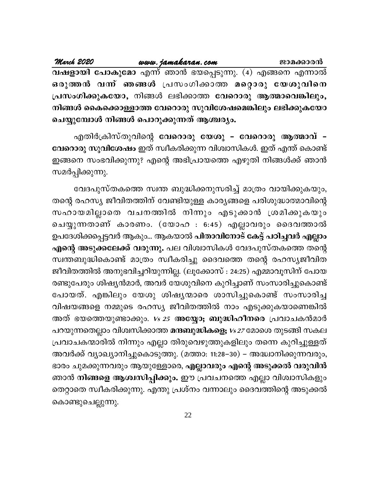| March 2020 |                                            | www.jamakaran.com                                        | ജാമക്കാരൻ |
|------------|--------------------------------------------|----------------------------------------------------------|-----------|
|            |                                            | വഷളായി പോകുമോ എന്ന് ഞാൻ ഭയപ്പെടുന്നു. (4) എങ്ങനെ എന്നാൽ  |           |
|            |                                            | ഒരുത്തൻ വന്ന് ഞങ്ങൾ പ്രസംഗിക്കാത്ത മറ്റൊരു യേശുവിനെ      |           |
|            |                                            | പ്രസംഗിക്കുകയോ, നിങ്ങൾ ലഭിക്കാത്ത വേറൊരു ആത്മാവെങ്കിലും, |           |
|            |                                            | നിങ്ങൾ കൈക്കൊള്ളാത്ത വേറൊരു സുവിശേഷമെങ്കിലും ലഭിക്കുകയോ  |           |
|            | ചെയ്യുമ്പോൾ നിങ്ങൾ പൊറുക്കുന്നത് ആശ്ചര്യം. |                                                          |           |

എതിർക്രിസ്തുവിന്റെ വേറൊരു യേശു - വേറൊരു ആത്മാവ് -വേറൊരു സുവിശേഷം ഇത് സ്വീകരിക്കുന്ന വിശ്വാസികൾ. ഇത് എന്ത് കൊണ്ട് ഇങ്ങനെ സംഭവിക്കുന്നു? എന്റെ അഭിപ്രായത്തെ എഴുതി നിങ്ങൾക്ക് ഞാൻ സമർപ്പിക്കുന്നു.

വേദപുസ്തകത്തെ സ്വന്ത ബുദ്ധിക്കനുസരിച്ച് മാത്രം വായിക്കുകയും, തന്റെ രഹസ്യ ജീവിതത്തിന് വേണ്ടിയുള്ള കാര്യങ്ങളെ പരിശുദ്ധാത്മാവിന്റെ സഹായമില്ലാതെ വചനത്തിൽ നിന്നും എടുക്കാൻ ശ്രമിക്കുകയും ചെയ്യുന്നതാണ് കാരണം. (യോഹ : 6:45) എല്ലാവരും ദൈവത്താൽ ഉപദേശിക്കപ്പെട്ടവർ ആകും... ആകയാൽ പിതാവിനോട് കേട്ട് പഠിച്ചവർ എല്ലാം **എന്റെ അടുക്കലേക്ക് വരുന്നു.** പല വിശ്വാസികൾ വേദപുസ്തകത്തെ തന്റെ സ്വന്തബുദ്ധികൊണ്ട് മാത്രം സ്വീകരിച്ചു ദൈവത്തെ തന്റെ രഹസ്യജീവിത ജീവിതത്തിൽ അനുഭവിച്ചറിയുന്നില്ല. (ലൂക്കോസ് : 24:25) എമ്മാവൂസിന് പോയ രണ്ടുപേരും ശിഷ്യൻമാർ, അവർ യേശുവിനെ കുറിച്ചാണ് സംസാരിച്ചുകൊണ്ട് പോയത്. എങ്കിലും യേശു ശിഷൃന്മാരെ ശാസിച്ചുകൊണ്ട് സംസാരിച്ച വിഷയങ്ങളെ നമ്മുടെ രഹസ്യ ജീവിതത്തിൽ നാം എടുക്കുകയാണെങ്കിൽ അത് ഭയത്തെയുണ്ടാക്കും. *vs 25* അ**യ്യോ; ബുദ്ധിഹീനരെ** പ്രവാചകൻമാർ പറയുന്നതെല്ലാം വിശ്വസിക്കാത്ത <mark>മന്ദബുദ്ധികളെ;</mark> *vs 27* മോശെ തുടങ്ങി സകല പ്രവാചകന്മാരിൽ നിന്നും എല്ലാ തിരുവെഴുത്തുകളിലും തന്നെ കുറിച്ചുള്ളത് അവർക്ക് വ്യാഖ്യാനിച്ചുകൊടുത്തു. (മത്താ: 11:28–30) – അദ്ധ്വാനിക്കുന്നവരും, ഭാരം ചുമക്കുന്നവരും ആയുള്ളോരെ, എല്ലാവരും എന്റെ അടുക്കൽ വരുവിൻ ഞാൻ നിങ്ങളെ ആശ്വസിപ്പിക്കും. ഈ പ്രവചനത്തെ എല്ലാ വിശ്വാസികളും തെറ്റാതെ സ്വീകരിക്കുന്നു. എന്തു പ്രശ്നം വന്നാലും ദൈവത്തിന്റെ അടുക്കൽ കൊണ്ടുചെല്ലുന്നു.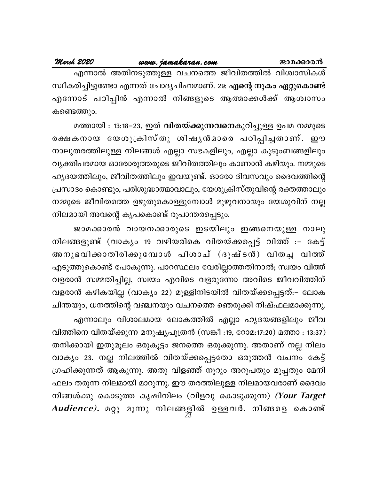എന്നാൽ അതിനടുത്തുള്ള വചനത്തെ ജീവിതത്തിൽ വിശ്വാസികൾ സ്ഥീകരിച്ചിട്ടുണ്ടോ എന്നത് ചോദ്യചിഹ്നമാണ്. 29: എന്റെ നുകം ഏറ്റുകൊണ്ട് എന്നോട് പഠിപ്പിൻ എന്നാൽ നിങ്ങളുടെ ആത്മാക്കൾക്ക് ആശ്വാസം കണ്ടെത്തും.

മത്തായി ։ 13:18−23, ഇത് **വിതയ്ക്കുന്നവനെ**കുറിച്ചുള്ള ഉപമ നമ്മുടെ രക്ഷകനായ യേശുക്രിസ്തു ശിഷൃൻമാരെ പഠിപ്പിച്ചതാണ്. ഈ നാലുതരത്തിലുള്ള നിലങ്ങൾ എല്ലാ സഭകളിലും, എല്ലാ കുടുംബങ്ങളിലും വ്യക്തിപരമായ ഓരോരുത്തരുടെ ജീവിതത്തിലും കാണാൻ കഴിയും. നമ്മുടെ ഹൃദയത്തിലും, ജീവിതത്തിലും ഇവയുണ്ട്. ഓരോ ദിവസവും ദൈവത്തിന്റെ പ്രസാദം കൊണ്ടും, പരിശുദ്ധാത്മാവാലും, യേശുക്രിസ്തുവിന്റെ രക്തത്താലും നമ്മുടെ ജീവിതത്തെ ഉഴുതുകൊള്ളുമ്പോൾ മുഴുവനായും യേശുവിന് നല്ല നിലമായി അവന്റെ കൃപകൊണ്ട് രൂപാന്തരപ്പെടും.

ജാമക്കാരൻ വായനക്കാരുടെ ഇടയിലും ഇങ്ങനെയുള്ള നാലു നിലങ്ങളുണ്ട് (വാക്യം 19 വഴിയരികെ വിതയ്ക്കപ്പെട്ട് വിത്ത് :– കേട്ട് അനുഭവിക്കാതിരിക്കുമ്പോൾ പിശാച് (ദുഷ്ടൻ) വിതച്ച വിത്ത് എടുത്തുകൊണ്ട് പോകുന്നു. പാറസ്ഥലം വേരില്ലാത്തതിനാൽ; സ്വയം വിത്ത് വളരാൻ സമ്മതിച്ചില്ല, സ്വയം എവിടെ വളരുന്നോ അവിടെ ജീവവിത്തിന് വളരാൻ കഴികയില്ല (വാക്യം 22) മുള്ളിനിടയിൽ വിതയ്ക്കപ്പെട്ടത്:– ലോക ചിന്തയും, ധനത്തിന്റെ വഞ്ചനയും വചനത്തെ ഞെരുക്കി നിഷ്ഫലമാക്കുന്നു.

എന്നാലും വിശാലമായ ലോകത്തിൽ എല്ലാ ഹൃദയങ്ങളിലും ജീവ വിത്തിനെ വിതയ്ക്കുന്ന മനുഷ്യപുത്രൻ (സങ്കീ :19, റോമ:17:20) മത്താ : 13:37) തനിക്കായി ഇതുമൂലം ഒരുകൂട്ടം ജനത്തെ ഒരുക്കുന്നു. അതാണ് നല്ല നിലം വാക്യം 23. നല്ല നിലത്തിൽ വിതയ്ക്കപ്പെട്ടതോ ഒരുത്തൻ വചനം കേട്ട് ഗ്രഹിക്കുന്നത് ആകുന്നു. അതു വിളഞ്ഞ് നൂറും അറുപതും മുപ്പതും മേനി ഫലം തരുന്ന നിലമായി മാറുന്നു. ഈ തരത്തിലുള്ള നിലമായവരാണ് ദൈവം നിങ്ങൾക്കു കൊടുത്ത കൃഷിനിലം (വിളവു കൊടുക്കുന്ന) *(Your Target* Audience). മറ്റു മൂന്നു നിലങ്ങളിൽ ഉള്ളവർ. നിങ്ങളെ കൊണ്ട്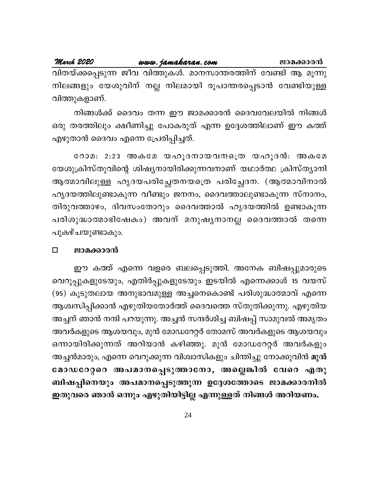| March 2020   | www.jamakaran.com | ജാമക്കാരൻ |                                                                 |
|--------------|-------------------|-----------|-----------------------------------------------------------------|
|              |                   |           | വിതയ്ക്കപ്പെടുന്ന ജീവ വിത്തുകൾ. മാനസാന്തരത്തിന് വേണ്ടി ആ മൂന്നു |
|              |                   |           | നിലങ്ങളും യേശുവിന് നല്ല നിലമായി രൂപാന്തരപ്പെടാൻ വേണ്ടിയുള്ള     |
| വിത്തുകളാണ്. |                   |           |                                                                 |

നിങ്ങൾക്ക് ദൈവം തന്ന ഈ ജാമക്കാരൻ ദൈവവേലയിൽ നിങ്ങൾ ഒരു തരത്തിലും ക്ഷീണിച്ചു പോകരുത് എന്ന ഉദ്ദേശത്തിലാണ് ഈ കത്ത് എഴുതാൻ ദൈവം എന്നെ പ്രേരിപ്പിച്ചത്.

റോമ: 2:23 അകമേ യഹൂദനായവനത്രെ യഹൂദൻ: അകമേ യേശുക്രിസ്തുവിന്റെ ശിഷ്യനായിരിക്കുന്നവനാണ് യഥാർത്ഥ ക്രിസ്ത്യാനി ആത്മാവിലുള്ള ഹൃദയപരിച്ഛേതനയത്രെ പരിച്ഛേദന. (ആത്മാവിനാൽ ഹൃദയത്തിലുണ്ടാകുന്ന വീണ്ടും ജനനം, ദൈവത്താലുണ്ടാകുന്ന സ്നാനം, തിരുവത്താഴം, ദിവസംതോറും ദൈവത്താൽ ഹൃദയത്തിൽ ഉണ്ടാകുന്ന പരിശുദ്ധാത്മാഭിഷേകം) അവന് മനുഷൃനാനല്ല ദൈവത്താൽ തന്നെ പുകഴ്ചയുണ്ടാകും.

### $\Box$ ജാമക്കാരൻ

ഈ കത്ത് എന്നെ വളരെ ബലപ്പെടുത്തി. അനേക ബിഷപ്പുമാരുടെ വെറുപ്പുകളുടേയും, എതിർപ്പുകളുടേയും ഇടയിൽ എന്നെക്കാൾ 15 വയസ് (95) കൂടുതലായ അനുഭാവമുള്ള അച്ചനെകൊണ്ട് പരിശുദ്ധാത്മാവ് എന്നെ ആശ്വസിപ്പിക്കാൻ എഴുതിയതോർത്ത് ദൈവത്തെ സ്തുതിക്കുന്നു. എഴുതിയ അച്ചന് ഞാൻ നന്ദി പറയുന്നു. അച്ചൻ സന്ദർശിച്ച ബിഷപ്പ് സാമുവൽ അമൃതം അവർകളുടെ ആശയവും, മുൻ മോഡറേറ്റർ തോമസ് അവർകളുടെ ആശയവും ഒന്നായിരിക്കുന്നത് അറിയാൻ കഴിഞ്ഞു. മുൻ മോഡറേറ്റർ അവർകളും അച്ചൻമാരും, എന്നെ വെറുക്കുന്ന വിശ്വാസികളും ചിന്തിച്ചു നോക്കുവിൻ മുൻ മോഡറേറ്ററെ അപമാനപ്പെടുത്താനോ, അല്ലെങ്കിൽ വേറെ എതു ബിഷപ്പിനെയും അപമാനപ്പെടുത്തുന്ന ഉദ്ദേശത്തോടെ ജാമക്കാരനിൽ ഇതുവരെ ഞാൻ ഒന്നും എഴുതിയിട്ടില്ല എന്നുള്ളത് നിങ്ങൾ അറിയണം.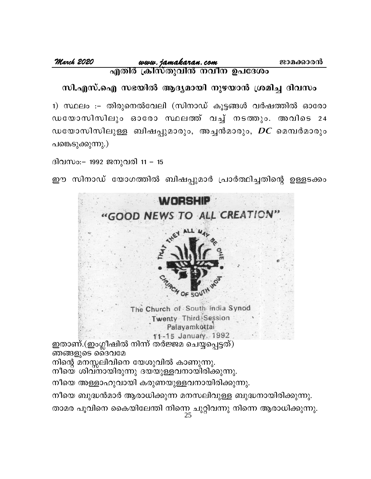സി.എസ്.ഐ സഭയിൽ ആദ്യമായി നുഴയാൻ ശ്രമിച്ച ദിവസം

1) സ്ഥലം :– തിരുനെൽവേലി (സിനാഡ് കൂട്ടങ്ങൾ വർഷത്തിൽ ഓരോ ഡയോസിസിലും ഓരോ സ്ഥലത്ത് വച്ച് നടത്തും. അവിടെ 24 ഡയോസിസിലുള്ള ബിഷപ്പുമാരും, അച്ചൻമാരും, *DC* മെമ്പർമാരും പങ്കെടുക്കുന്നു.)

ദിവസം:– 1992 ജനുവരി 11 – 15

ഈ സിനാഡ് യോഗത്തിൽ ബിഷപ്പുമാർ പ്രാർത്ഥിച്ചതിന്റെ ഉള്ളടക്കം

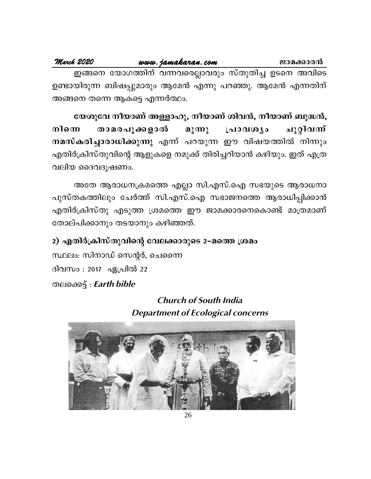### March 2020 www.jamakaran.com ജാമക്കാരൻ ഇങ്ങനെ യോഗത്തിന് വന്നവരെല്ലാവരും സ്തുതിച്ച ഉടനെ അവിടെ ഉണ്ടായിരുന്ന ബിഷപ്പുമാരും ആമേൻ എന്നു പറഞ്ഞു. ആമേൻ എന്നതിന് അങ്ങനെ തന്നെ ആകട്ടെ എന്നർത്ഥം.

യേശുവേ നീയാണ് അള്ളാഹു, നീയാണ് ശിവൻ, നീയാണ് ബുദ്ധൻ, പ്രാവശൃം താമരപൂക്കളാൽ മൂന്നു ചുറ്റിവന് നിനെ നമസ്കരിച്ചാരാധിക്കുന്നു എന്ന് പറയുന്ന ഈ വിഷയത്തിൽ നിന്നും എതിർക്രിസ്തുവിന്റെ ആളുകളെ നമുക്ക് തിരിച്ചറിയാൻ കഴിയും. ഇത് എത്ര വലിയ ദൈവദുഷണം.

അതേ ആരാധനക്രമത്തെ എല്ലാ സി.എസ്.ഐ സഭയുടെ ആരാധനാ പുസ്തകത്തിലും ചേർത്ത് സി.എസ്.ഐ സഭാജനത്തെ ആരാധിപ്പിക്കാൻ എതിർക്രിസ്തു എടുത്ത ശ്രമത്തെ ഈ ജാമക്കാരനെകൊണ്ട് മാത്രമാണ് തോല്പിക്കാനും തടയാനും കഴിഞ്ഞത്.

2) എതിർക്രിസ്തുവിന്റെ വേലക്കാരുടെ 2–മത്തെ ശ്രമം സ്ഥലം: സിനാഡ് സെന്റർ, ചെന്നൈ ദിവസം : 2017 ഏപ്രിൽ 22 തലക്കെട്ട് : Earth bible

> **Church of South India Department of Ecological concerns**

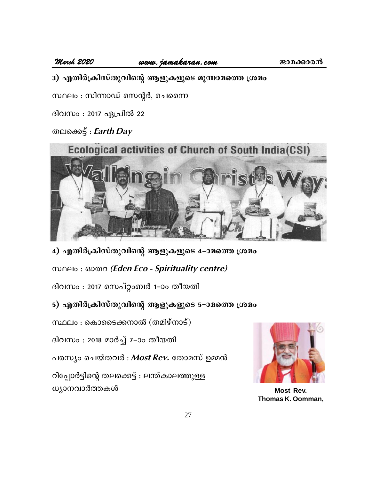March 2020

www.jamakaran.com

3) എതിർക്രിസ്തുവിന്റെ ആളുകളുടെ മൂന്നാമത്തെ ശ്രമം

സ്ഥലം : സിന്നാഡ് സെന്റർ, ചെന്നൈ

ദിവസം : 2017 ഏപ്രിൽ 22

തലക്കെട്ട് : *Earth Day* 



4) എതിർക്രിസ്തുവിന്റെ ആളുകളുടെ 4-ാമത്തെ ശ്രമം

mnelo: லை (Eden Eco - Spirituality centre)

ദിവസം : 2017 സെപ്റ്റംബർ 1–ാം തീയതി

### 5) എതിർക്രിസ്തുവിന്റെ ആളുകളുടെ 5–ാമത്തെ ശ്രമം

സ്ഥലം : കൊടൈക്കനാൽ (തമിഴ്നാട്)

ദിവസം : 2018 മാർച്ച് 7-ാം തീയതി

പരസ്യം ചെയ്തവർ : Most Rev. തോമസ് ഉമ്മൻ

റിപ്പോർട്ടിന്റെ തലക്കെട്ട് : ലന്ത്കാലത്തുള്ള ധ്യാനവാർത്തകൾ



**Most Rev.** Thomas K. Oomman,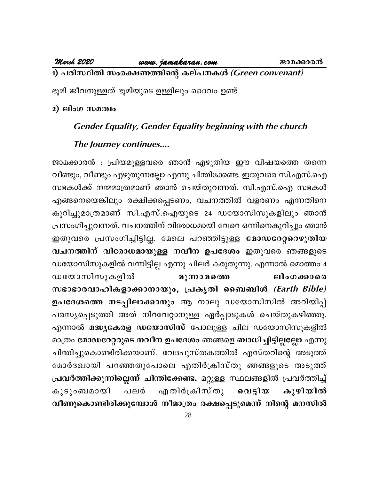### 1) പരിസ്ഥിതി സംരക്ഷണത്തിന്റെ കല്പനകൾ (Green convenant)

ഭൂമി ജീവനുള്ളത് ഭൂമിയുടെ ഉള്ളിലും ദൈവം ഉണ്ട്

### $2)$  ലിംഗ സമത്വം

### **Gender Equality, Gender Equality beginning with the church**

### The Journey continues....

ജാമക്കാരൻ : പ്രിയമുള്ളവരെ ഞാൻ എഴുതിയ ഈ വിഷയത്തെ തന്നെ വീണ്ടും, വീണ്ടും എഴുതുന്നല്ലോ എന്നു ചിന്തിക്കേണ്ട. ഇതുവരെ സി.എസ്.ഐ സഭകൾക്ക് നന്മമാത്രമാണ് ഞാൻ ചെയ്തുവന്നത്. സി.എസ്.ഐ സഭകൾ എങ്ങനെയെങ്കിലും രക്ഷിക്കപ്പെടണം, വചനത്തിൽ വളരണം എന്നതിനെ കുറിച്ചുമാത്രമാണ് സി.എസ്.ഐയുടെ 24 ഡയോസിസുകളിലും ഞാൻ പ്രസംഗിച്ചുവന്നത്. വചനത്തിന് വിരോധമായി വേറെ ഒന്നിനെകുറിച്ചും ഞാൻ ഇതുവരെ പ്രസംഗിച്ചിട്ടില്ല. മേലെ പറഞ്ഞിട്ടുള്ള മോഡറേറ്ററെഴുതിയ വചനത്തിന് വിരോധമായുള്ള നവീന ഉപദേശം ഇതുവരെ ഞങ്ങളുടെ ഡയോസിസുകളിൽ വന്നിട്ടില്ല എന്നു ചിലർ കരുതുന്നു. എന്നാൽ മൊത്തം 4 ഡയോസിസുകളിൽ മുന്നാമത്തെ ലിംഗക്കാരെ സഭാഭാരവാഹികളാക്കാനായും, പ്രകൃതി ബൈബിൾ (Earth Bible) ഉപദേശത്തെ നടപ്പിലാക്കാനും ആ നാലു ഡയോസിസിൽ അറിയിപ്പ് പരസ്യപ്പെടുത്തി അത് നിറവേറ്റാനുള്ള ഏർപ്പാടുകൾ ചെയ്തുകഴിഞ്ഞു. എന്നാൽ മദ്ധ്യകേരള ഡയോസിസ് പോലുള്ള ചില ഡയോസിസുകളിൽ മാത്രം മോഡറേറ്ററുടെ നവീന ഉപദേശം ഞങ്ങളെ ബാധിച്ചിട്ടില്ലല്ലോ എന്നു ചിന്തിച്ചുകൊണ്ടിരിക്കയാണ്. വേദപുസ്തകത്തിൽ എസ്തറിന്റെ അടുത്ത് മോർദഖായി പറഞ്ഞതുപോലെ എതിർക്രിസ്തു ഞങ്ങളുടെ അടുത്ത് പ്രവർത്തിക്കുന്നില്ലെന്ന് ചിന്തിക്കേണ്ട. മറ്റുള്ള സ്ഥലങ്ങളിൽ പ്രവർത്തിച്ച് കുഴിയിൽ എതിർക്രിസ്തു കൂടുംബമായി പലർ വെട്ടിയ വീണുകൊണ്ടിരിക്കുമ്പോൾ നീമാത്രം രക്ഷപ്പെടുമെന്ന് നിന്റെ മനസിൽ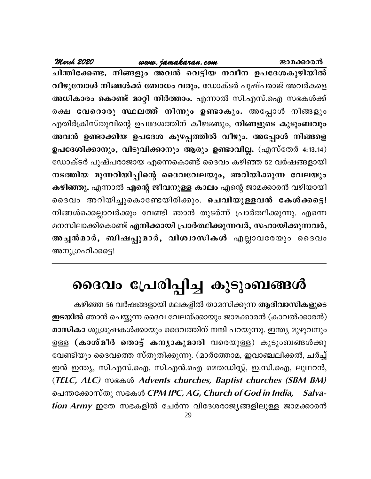March 2020 www.jamakaran.com ജാമക്കാരൻ ചിന്തിക്കേണ്ട. നിങ്ങളും അവൻ വെട്ടിയ നവീന ഉപദേശകുഴിയിൽ വീഴുമ്പോൾ നിങ്ങൾക്ക് ബോധം വരും. ഡോക്ടർ പുഷ്പരാജ് അവർകളെ അധികാരം കൊണ്ട് മാറ്റി നിർത്താം. എന്നാൽ സി.എസ്.ഐ സഭകൾക്ക് രക്ഷ <mark>വേറൊരു സ്ഥലത്ത് നിന്നും ഉണ്ടാകും.</mark> അപ്പോൾ നിങ്ങളും എതിർക്രിസ്തുവിന്റെ ഉപദേശത്തിന് കീഴടങ്ങും, നിങ്ങളുടെ കുടുംബവും അവൻ ഉണ്ടാക്കിയ ഉപദേശ കുഴപ്പത്തിൽ വീഴും. അപ്പോൾ നിങ്ങളെ ഉപദേശിക്കാനും, വിടുവിക്കാനും ആരും ഉണ്ടാവില്ല. (എസ്തേർ 4:13,14) ഡോക്ടർ പുഷ്പരാജായ എന്നെകൊണ്ട് ദൈവം കഴിഞ്ഞ 52 വർഷങ്ങളായി നടത്തിയ മുന്നറിയിപ്പിന്റെ ദൈവവേലയും, അറിയിക്കുന്ന വേലയും കഴിഞ്ഞു. എന്നാൽ എന്റെ ജീവനുള്ള കാലം എന്റെ ജാമക്കാരൻ വഴിയായി ദൈവം അറിയിച്ചുകൊണ്ടേയിരിക്കും. ചെവിയുള്ളവൻ കേൾക്കട്ടെ! നിങ്ങൾക്കെല്ലാവർക്കും വേണ്ടി ഞാൻ തുടർന്ന് പ്രാർത്ഥിക്കുന്നു. എന്നെ മനസിലാക്കികൊണ്ട് എനിക്കായി പ്രാർത്ഥിക്കുന്നവർ, സഹായിക്കുന്നവർ, അച്ചൻമാർ, ബിഷപ്പുമാർ, വിശ്വാസികൾ എല്ലാവരേയും ദൈവം അനുഗ്രഹിക്കട്ടെ!

# ദൈവം പ്രേരിപ്പിച്ച കുടുംബങ്ങൾ

കഴിഞ്ഞ 56 വർഷങ്ങളായി മലകളിൽ താമസിക്കുന്ന ആദിവാസികളുടെ ഇടയിൽ ഞാൻ ചെയ്യുന്ന ദൈവ വേലയ്ക്കായും ജാമക്കാരൻ (കാവൽക്കാരൻ) മാസികാ ശുശ്രൂഷകൾക്കായും ദൈവത്തിന് നന്ദി പറയുന്നു. ഇന്ത്യ മുഴുവനും ഉള്ള (കാശ്മീർ തൊട്ട് കന്യാകുമാരി വരെയുള്ള) കുടുംബങ്ങൾക്കു വേണ്ടിയും ദൈവത്തെ സ്തുതിക്കുന്നു. (മാർത്തോമ, ഇവാഞ്ചലിക്കൽ, ചർച്ച് ഇൻ ഇന്ത്യ, സി.എസ്.ഐ, സി.എൻ.ഐ മെതഡിസ്റ്റ്, ഇ.സി.ഐ, ലൂഥറൻ, (TELC, ALC) സഭകൾ Advents churches, Baptist churches (SBM BM) പെന്തക്കോസ്തു സഭകൾ *CPM IPC, AG, Church of God in India, Salva*tion Army ഇതേ സഭകളിൽ ചേർന്ന വിദേശരാജ്യങ്ങളിലുള്ള ജാമക്കാരൻ 29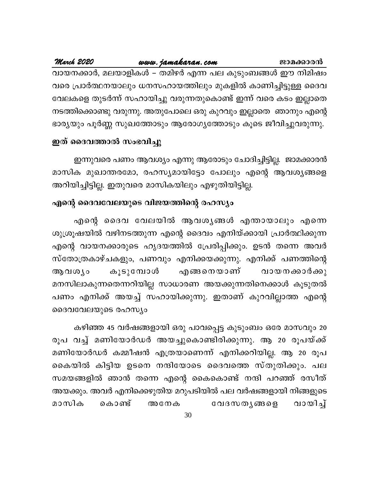### March 2020 www.jamakaran.com ജാമക്കാരൻ വായനക്കാർ, മലയാളികൾ – തമിഴർ എന്ന പല കുടുംബങ്ങൾ ഈ നിമിഷം വരെ പ്രാർത്ഥനയാലും ധനസഹായത്തിലും മുകളിൽ കാണിച്ചിട്ടുള്ള ദൈവ വേലകളെ തുടർന്ന് സഹായിച്ചു വരുന്നതുകൊണ്ട് ഇന്ന് വരെ കടം ഇല്ലാതെ

നടത്തിക്കൊണ്ടു വരുന്നു. അതുപോലെ ഒരു കുറവും ഇല്ലാതെ ഞാനും എന്റെ ഭാര്യയും പൂർണ്ണ സുഖത്തോടും ആരോഗ്യത്തോടും കൂടെ ജീവിച്ചുവരുന്നു.

### ഇത് ദൈവത്താൽ സംഭവിച്ചു

ഇന്നുവരെ പണം ആവശ്യം എന്നു ആരോടും ചോദിച്ചിട്ടില്ല. ജാമക്കാരൻ മാസിക മുഖാന്തരമോ, രഹസ്യമായിട്ടോ പോലും എന്റെ ആവശ്യങ്ങളെ അറിയിച്ചിട്ടില്ല. ഇതുവരെ മാസികയിലും എഴുതിയിട്ടില്ല.

## എന്റെ ദൈവവേലയുടെ വിജയത്തിന്റെ രഹസ്യം

എന്റെ ദൈവ വേലയിൽ ആവശൃങ്ങൾ എന്തായാലും എന്നെ ശുശ്രൂഷയിൽ വഴിനടത്തുന്ന എന്റെ ദൈവം എനിയ്ക്കായി പ്രാർത്ഥിക്കുന്ന എന്റെ വായനക്കാരുടെ ഹൃദയത്തിൽ പ്രേരിപ്പിക്കും. ഉടൻ തന്നെ അവർ സ്തോത്രകാഴ്ചകളും, പണവും എനിക്കയക്കുന്നു. എനിക്ക് പണത്തിന്റെ വായനക്കാർക്കു എങ്ങനെയാണ് കൂടുമ്പോൾ ആവശ്യം മനസിലാകുന്നതെന്നറിയില്ല സാധാരണ അയക്കുന്നതിനെക്കാൾ കൂടുതൽ പണം എനിക്ക് അയച്ച് സഹായിക്കുന്നു. ഇതാണ് കുറവില്ലാത്ത എന്റെ ദൈവവേലയുടെ രഹസ്യം

കഴിഞ്ഞ 45 വർഷങ്ങളായി ഒരു പാവപ്പെട്ട കുടുംബം ഒരേ മാസവും 20 രൂപ വച്ച് മണിയോർഡർ അയച്ചുകൊണ്ടിരിക്കുന്നു. ആ 20 രൂപയ്ക്ക് മണിയോർഡർ കമ്മീഷൻ എത്രയാണെന്ന് എനിക്കറിയില്ല. ആ 20 രൂപ കൈയിൽ കിട്ടിയ ഉടനെ നന്ദിയോടെ ദൈവത്തെ സ്തുതിക്കും. പല സമയങ്ങളിൽ ഞാൻ തന്നെ എന്റെ കൈകൊണ്ട് നന്ദി പറഞ്ഞ് രസീത് അയക്കും. അവർ എനിക്കെഴുതിയ മറുപടിയിൽ പല വർഷങ്ങളായി നിങ്ങളുടെ വായിച്ച് കൊണ്ട് വേദസതൃങ്ങളെ മാസിക അനേക

30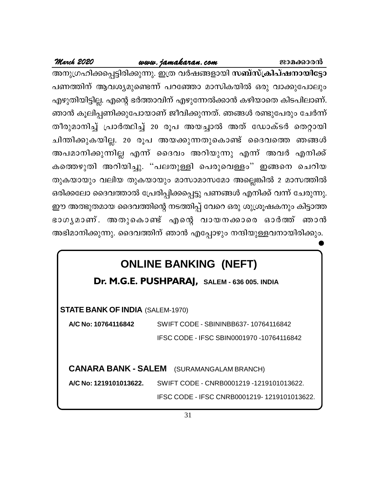**March <sup>2020</sup> www.jamakaran.com Pma¡mc³** A\p{Kln¡s¸«ncn¡p¶p. C{X hÀj§fmbn **k\_vkv{In]vj\mbnt«m** പണത്തിന് ആവശ്യമുണ്ടെന്ന് പറഞ്ഞോ മാസികയിൽ ഒരു വാക്കുപോലും എഴുതിയിട്ടില്ല. എന്റെ ഭർത്താവിന് എഴുന്നേൽക്കാൻ കഴിയാതെ കിടപിലാണ്. ഞാൻ കൂലിപ്പണിക്കുപോയാണ് ജീവിക്കുന്നത്. ഞങ്ങൾ രണ്ടുപേരും ചേർന്ന് ക്കാര്യ മാത്തിന് ആവശ്യമുണ്ടെന്ന് പറഞ്ഞോ മാസികയിൽ ഒരു വാക്കുപോലും<br>എഴുതിയിട്ടില്ല. എന്റെ ഭർത്താവിന് എഴുന്നേൽക്കാൻ കഴിയാതെ കിടപിലാണ്.<br>ഞാൻ കൂലിപ്പണിക്കുപോയാണ് ജീവിക്കുന്നത്. ഞങ്ങൾ രണ്ടുപേരും ചേർന്ന്<br>തീരുമാനിച്ച് പ്രാർത്ഥിച്ച ചാരായത്തിയിട്ടില്ല. എന്റെ ഭർത്താവിന് എഴുന്നേൽക്കാൻ കഴിയാതെ കിടപിലാണ്.<br>ഞാൻ കൂലിപ്പണിക്കുപോയാണ് ജീവിക്കുന്നത്. ഞങ്ങൾ രണ്ടുപേരും ചേർന്ന്<br>തീരുമാനിച്ച് പ്രാർത്ഥിച്ച് 20 രൂപ അയച്ചാൽ അത് ഡോക്ടർ തെറ്റായി<br>ചിന്തിക്കുകയില്ല. കാര്യമാക്ക് കാര് ഉക്കാര് കാര്യമാണ് കാര്യമാണ് കുലിപ്പണിക്കുപോയാണ് ജീവിക്കുന്നത്. ഞങ്ങൾ രണ്ടുപേരും ചേർന്ന്<br>തീരുമാനിച്ച് പ്രാർത്ഥിച്ച് 20 രൂപ അയച്ചാൽ അത് ഡോക്ടർ തെറ്റായി<br>ചിന്തിക്കുകയില്ല. 20 രൂപ അയക്കുന്നതുകൊണ്ട് ദ കത്തെഴുതി അറിയിച്ചു. "പലതുള്ളി പെരുവെള്ളം" ഇങ്ങനെ ചെറിയ തുകയായും വലിയ തുകയായും മാസാമാസമോ അല്ലെങ്കിൽ 2 മാസത്തിൽ ഒരിക്കലോ ദൈവത്താൽ പ്രേരിപ്പിക്കപ്പെട്ടു പണങ്ങൾ എനിക്ക് വന്ന് ചേരുന്നു. ഈ അത്ഭുതമായ ദൈവത്തിന്റെ നടത്തിപ്പ് വേറെ ഒരു ശുശ്രൂഷകനും കിട്ടാത്ത കാകയായും വലിയ തുകയായും മാസാമാസമോ അല്ലെങ്കിൽ 2 മാസത്തിൽ<br>ഒരിക്കലോ ദൈവത്താൽ പ്രേരിപ്പിക്കപ്പെട്ടു പണങ്ങൾ എനിക്ക് വന്ന് ചേരുന്നു.<br>ഈ അത്ഭുതമായ ദൈവത്തിന്റെ നടത്തിപ്പ് വേറെ ഒരു ശുശ്രൂഷകനും കിട്ടാത്ത<br>ഭാഗ്യമാണ് . അതുകൊണ്ട് എന് അഭിമാനിക്കുന്നു. ദൈവത്തിന് ഞാൻ എപ്പോഴും നന്ദിയുള്ളവനായിരിക്കും.

# **ONLINE BANKING (NEFT)**

**Dr. M.G.E. PUSHPARAJ, SALEM - 636 005. INDIA**

**STATE BANK OF INDIA** (SALEM-1970)

**A/C No: 10764116842** SWIFT CODE - SBININBB637- 10764116842 IFSC CODE - IFSC SBIN0001970 -10764116842

**CANARA BANK - SALEM** (SURAMANGALAM BRANCH)

**A/C No: 1219101013622.** SWIFT CODE - CNRB0001219 -1219101013622.

IFSC CODE - IFSC CNRB0001219- 1219101013622.